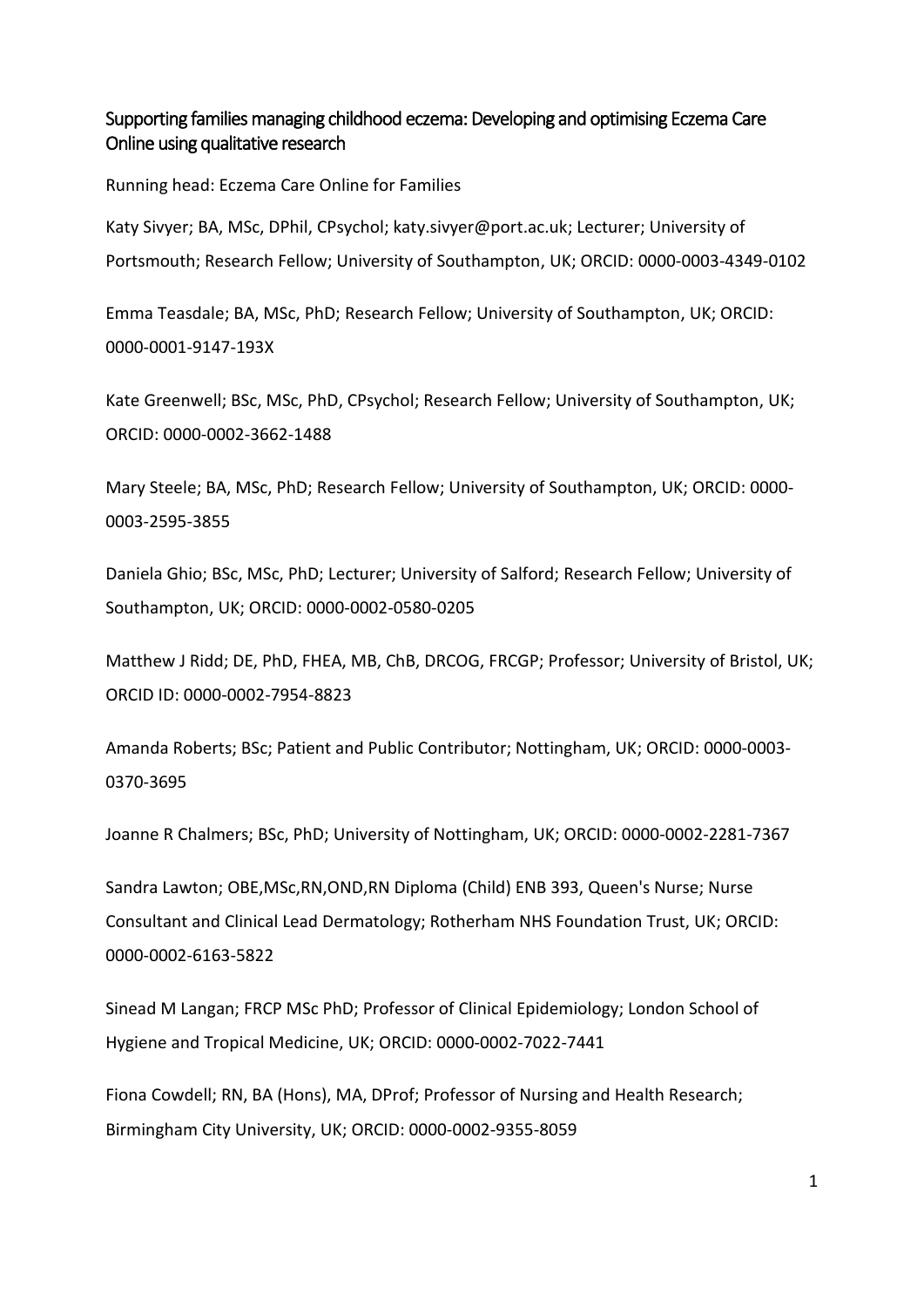### Supporting families managing childhood eczema: Developing and optimising Eczema Care Online using qualitative research

Running head: Eczema Care Online for Families

Katy Sivyer; BA, MSc, DPhil, CPsychol; [katy.sivyer@port.ac.uk;](mailto:k.a.j.sivyer@soton.ac.uk) Lecturer; University of Portsmouth; Research Fellow; University of Southampton, UK; ORCID: [0000-0003-4349-0102](https://orcid.org/0000-0003-4349-0102)

Emma Teasdale; BA, MSc, PhD; Research Fellow; University of Southampton, UK; ORCID: 0000-0001-9147-193X

Kate Greenwell; BSc, MSc, PhD, CPsychol; Research Fellow; University of Southampton, UK; ORCID: 0000-0002-3662-1488

Mary Steele; BA, MSc, PhD; Research Fellow; University of Southampton, UK; ORCID: 0000- 0003-2595-3855

Daniela Ghio; BSc, MSc, PhD; Lecturer; University of Salford; Research Fellow; University of Southampton, UK; ORCID: [0000-0002-0580-0205](https://orcid.org/0000-0002-0580-0205)

Matthew J Ridd; DE, PhD, FHEA, MB, ChB, DRCOG, FRCGP; Professor; University of Bristol, UK; ORCID ID: 0000-0002-7954-8823

Amanda Roberts; BSc; Patient and Public Contributor; Nottingham, UK; ORCID: [0000-0003-](http://orcid.org/0000-0003-0370-3695) [0370-3695](http://orcid.org/0000-0003-0370-3695)

Joanne R Chalmers; BSc, PhD; University of Nottingham, UK; ORCID: [0000-0002-2281-7367](http://orcid.org/0000-0002-2281-7367)

Sandra Lawton; OBE,MSc,RN,OND,RN Diploma (Child) ENB 393, Queen's Nurse; Nurse Consultant and Clinical Lead Dermatology; Rotherham NHS Foundation Trust, UK; ORCID: 0000-0002-6163-5822

Sinead M Langan; FRCP MSc PhD; Professor of Clinical Epidemiology; London School of Hygiene and Tropical Medicine, UK; ORCID: 0000-0002-7022-7441

Fiona Cowdell; RN, BA (Hons), MA, DProf; Professor of Nursing and Health Research; Birmingham City University, UK; ORCID: 0000-0002-9355-8059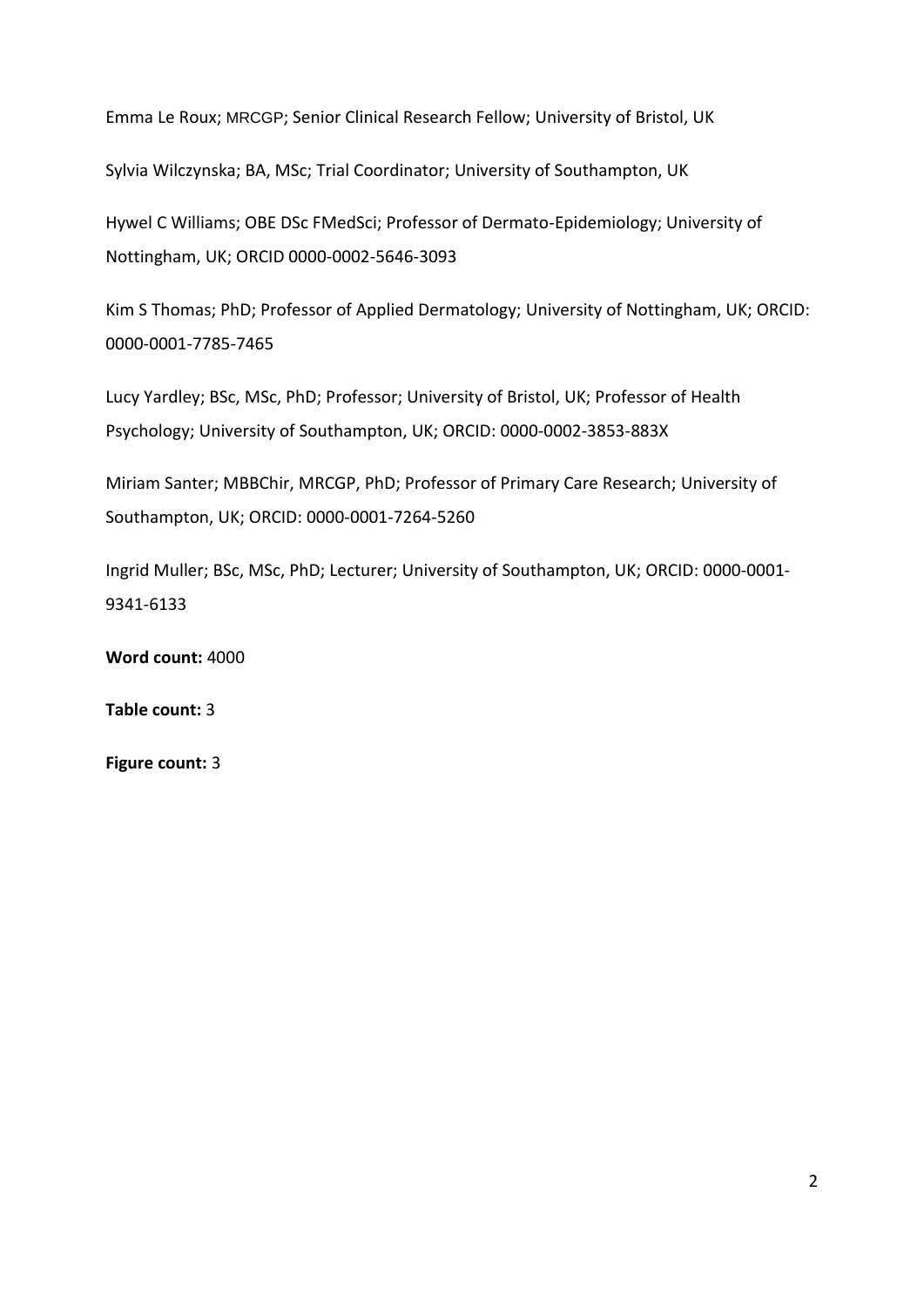Emma Le Roux; MRCGP; Senior Clinical Research Fellow; University of Bristol, UK

Sylvia Wilczynska; BA, MSc; Trial Coordinator; University of Southampton, UK

Hywel C Williams; OBE DSc FMedSci; Professor of Dermato-Epidemiology; University of Nottingham, UK; ORCID 0000-0002-5646-3093

Kim S Thomas; PhD; Professor of Applied Dermatology; University of Nottingham, UK; ORCID: 0000-0001-7785-7465

Lucy Yardley; BSc, MSc, PhD; Professor; University of Bristol, UK; Professor of Health Psychology; University of Southampton, UK; ORCID: [0000-0002-3853-883X](https://orcid.org/0000-0002-3853-883X)

Miriam Santer; MBBChir, MRCGP, PhD; Professor of Primary Care Research; University of Southampton, UK; ORCID: [0000-0001-7264-5260](http://orcid.org/0000-0001-7264-5260)

Ingrid Muller; BSc, MSc, PhD; Lecturer; University of Southampton, UK; ORCID: [0000-0001-](http://orcid.org/0000-0001-9341-6133) [9341-6133](http://orcid.org/0000-0001-9341-6133)

**Word count:** 4000

**Table count:** 3

**Figure count:** 3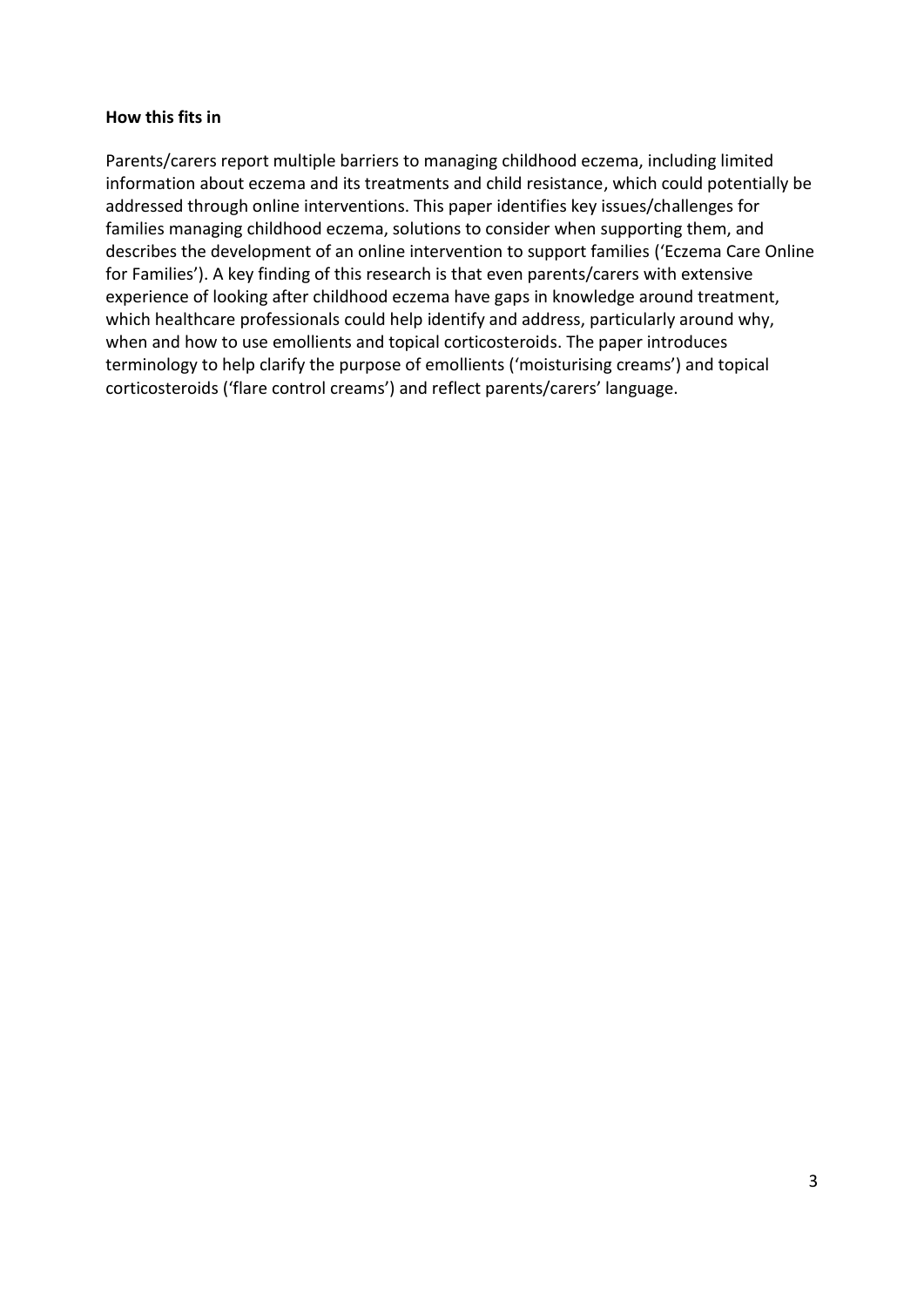#### **How this fits in**

Parents/carers report multiple barriers to managing childhood eczema, including limited information about eczema and its treatments and child resistance, which could potentially be addressed through online interventions. This paper identifies key issues/challenges for families managing childhood eczema, solutions to consider when supporting them, and describes the development of an online intervention to support families ('Eczema Care Online for Families'). A key finding of this research is that even parents/carers with extensive experience of looking after childhood eczema have gaps in knowledge around treatment, which healthcare professionals could help identify and address, particularly around why, when and how to use emollients and topical corticosteroids. The paper introduces terminology to help clarify the purpose of emollients ('moisturising creams') and topical corticosteroids ('flare control creams') and reflect parents/carers' language.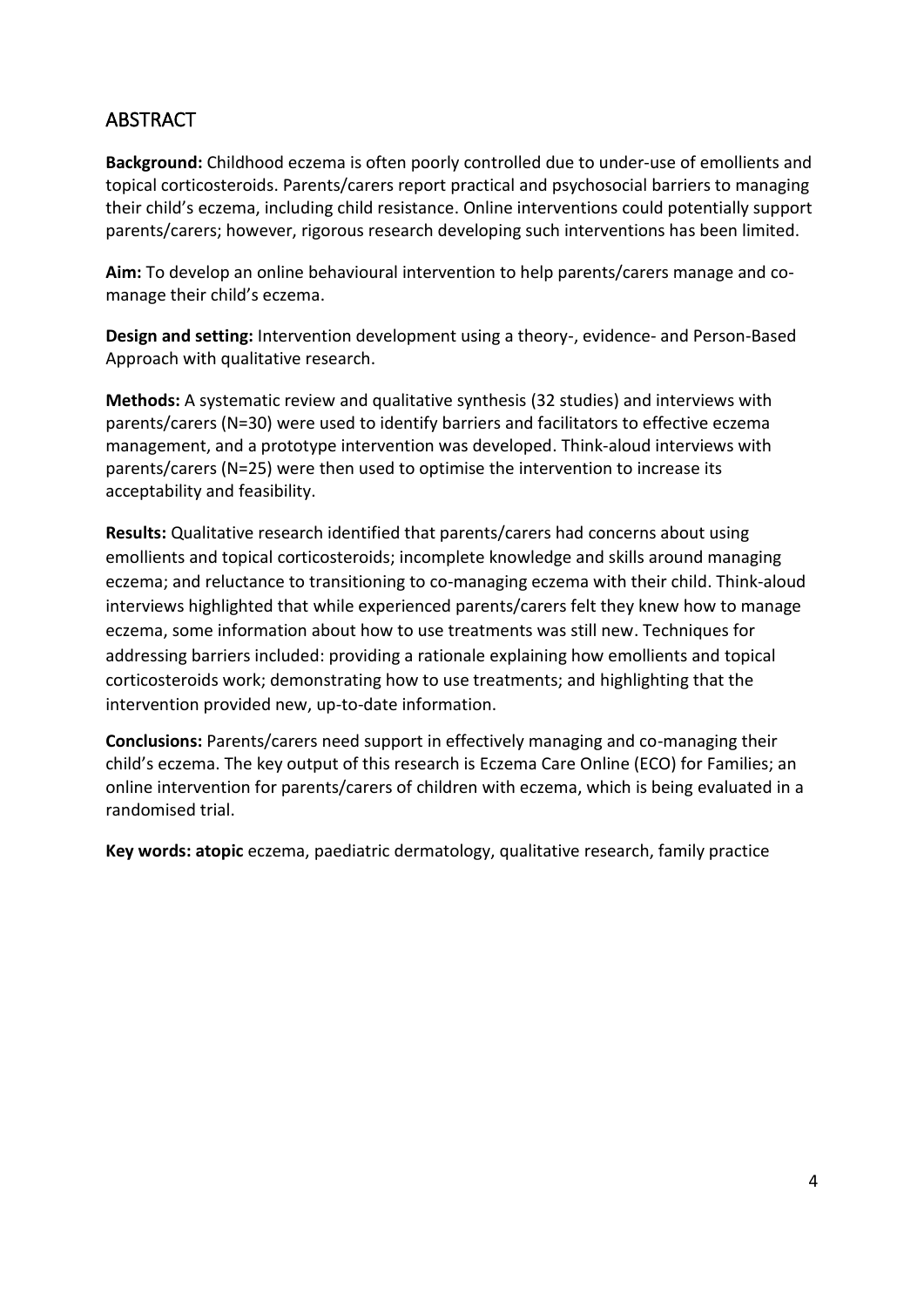## **ABSTRACT**

**Background:** Childhood eczema is often poorly controlled due to under-use of emollients and topical corticosteroids. Parents/carers report practical and psychosocial barriers to managing their child's eczema, including child resistance. Online interventions could potentially support parents/carers; however, rigorous research developing such interventions has been limited.

**Aim:** To develop an online behavioural intervention to help parents/carers manage and comanage their child's eczema.

**Design and setting:** Intervention development using a theory-, evidence- and Person-Based Approach with qualitative research.

**Methods:** A systematic review and qualitative synthesis (32 studies) and interviews with parents/carers (N=30) were used to identify barriers and facilitators to effective eczema management, and a prototype intervention was developed. Think-aloud interviews with parents/carers (N=25) were then used to optimise the intervention to increase its acceptability and feasibility.

**Results:** Qualitative research identified that parents/carers had concerns about using emollients and topical corticosteroids; incomplete knowledge and skills around managing eczema; and reluctance to transitioning to co-managing eczema with their child. Think-aloud interviews highlighted that while experienced parents/carers felt they knew how to manage eczema, some information about how to use treatments was still new. Techniques for addressing barriers included: providing a rationale explaining how emollients and topical corticosteroids work; demonstrating how to use treatments; and highlighting that the intervention provided new, up-to-date information.

**Conclusions:** Parents/carers need support in effectively managing and co-managing their child's eczema. The key output of this research is Eczema Care Online (ECO) for Families; an online intervention for parents/carers of children with eczema, which is being evaluated in a randomised trial.

**Key words: atopic** eczema, paediatric dermatology, qualitative research, family practice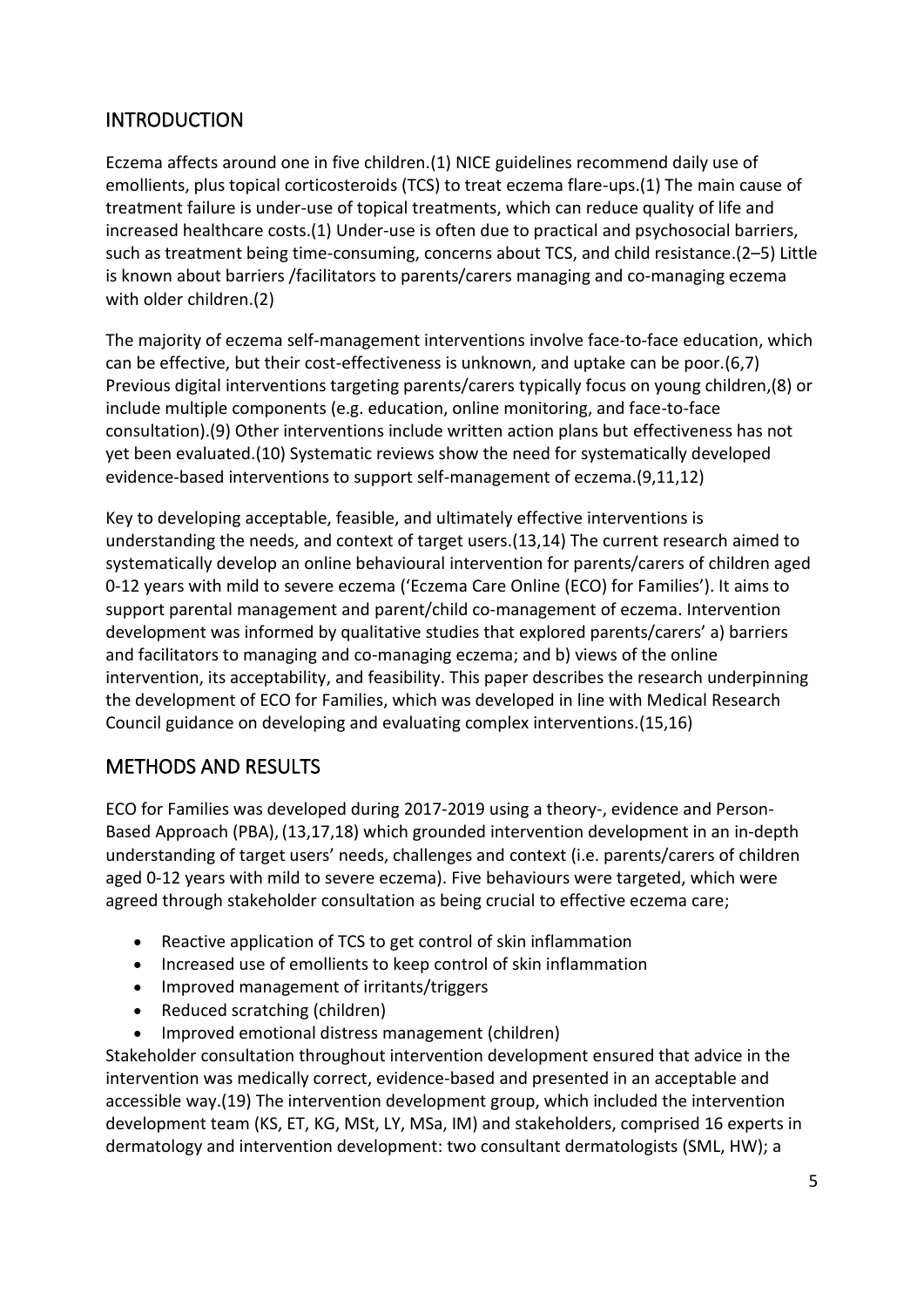# **INTRODUCTION**

Eczema affects around one in five children.(1) NICE guidelines recommend daily use of emollients, plus topical corticosteroids (TCS) to treat eczema flare-ups.(1) The main cause of treatment failure is under-use of topical treatments, which can reduce quality of life and increased healthcare costs.(1) Under-use is often due to practical and psychosocial barriers, such as treatment being time-consuming, concerns about TCS, and child resistance.(2–5) Little is known about barriers /facilitators to parents/carers managing and co-managing eczema with older children.(2)

The majority of eczema self-management interventions involve face-to-face education, which can be effective, but their cost-effectiveness is unknown, and uptake can be poor.(6,7) Previous digital interventions targeting parents/carers typically focus on young children,(8) or include multiple components (e.g. education, online monitoring, and face-to-face consultation).(9) Other interventions include written action plans but effectiveness has not yet been evaluated.(10) Systematic reviews show the need for systematically developed evidence-based interventions to support self-management of eczema.(9,11,12)

Key to developing acceptable, feasible, and ultimately effective interventions is understanding the needs, and context of target users.(13,14) The current research aimed to systematically develop an online behavioural intervention for parents/carers of children aged 0-12 years with mild to severe eczema ('Eczema Care Online (ECO) for Families'). It aims to support parental management and parent/child co-management of eczema. Intervention development was informed by qualitative studies that explored parents/carers' a) barriers and facilitators to managing and co-managing eczema; and b) views of the online intervention, its acceptability, and feasibility. This paper describes the research underpinning the development of ECO for Families, which was developed in line with Medical Research Council guidance on developing and evaluating complex interventions.(15,16)

# METHODS AND RESULTS

ECO for Families was developed during 2017-2019 using a theory-, evidence and Person-Based Approach (PBA), (13,17,18) which grounded intervention development in an in-depth understanding of target users' needs, challenges and context (i.e. parents/carers of children aged 0-12 years with mild to severe eczema). Five behaviours were targeted, which were agreed through stakeholder consultation as being crucial to effective eczema care;

- Reactive application of TCS to get control of skin inflammation
- Increased use of emollients to keep control of skin inflammation
- Improved management of irritants/triggers
- Reduced scratching (children)
- Improved emotional distress management (children)

Stakeholder consultation throughout intervention development ensured that advice in the intervention was medically correct, evidence-based and presented in an acceptable and accessible way.(19) The intervention development group, which included the intervention development team (KS, ET, KG, MSt, LY, MSa, IM) and stakeholders, comprised 16 experts in dermatology and intervention development: two consultant dermatologists (SML, HW); a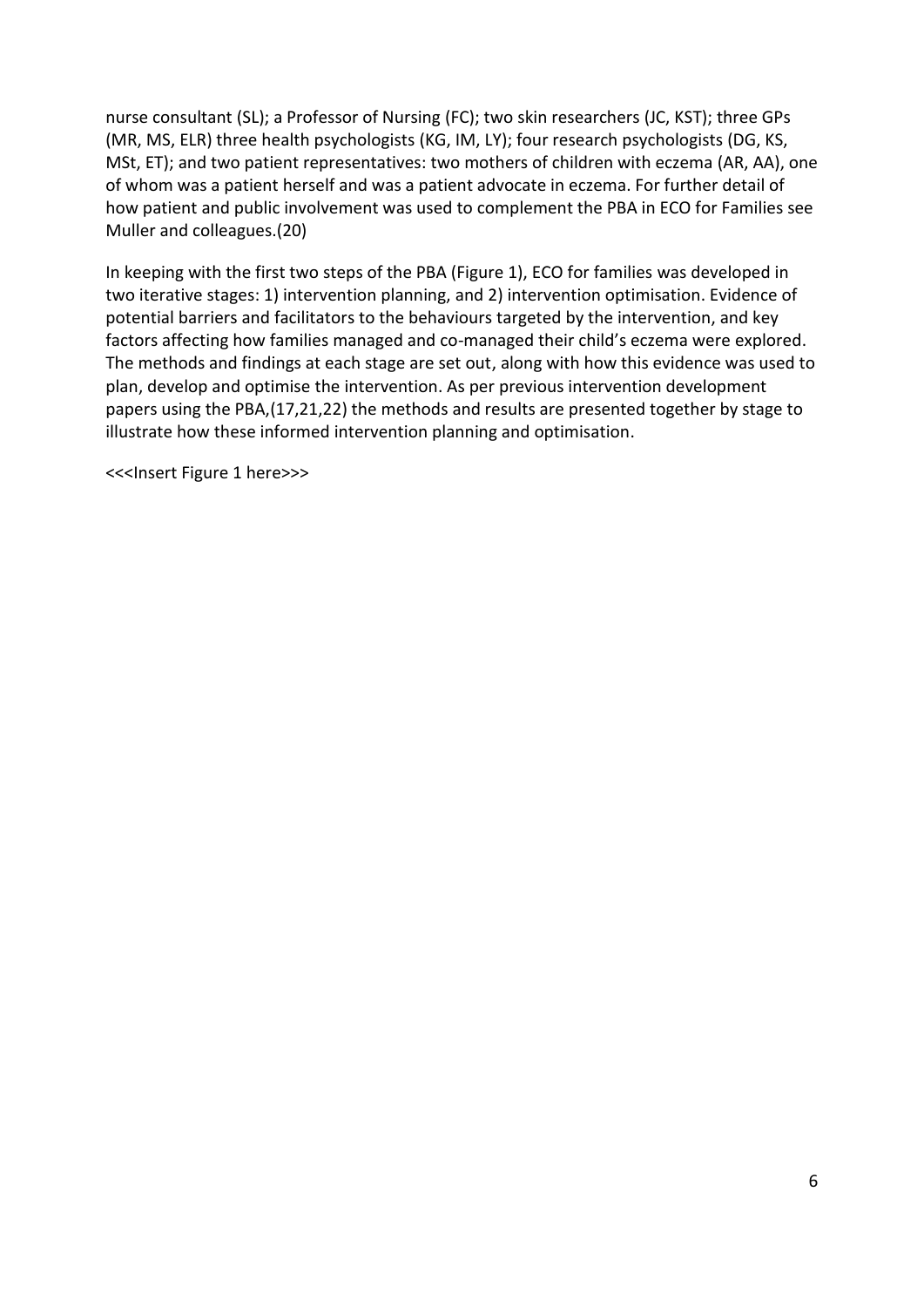nurse consultant (SL); a Professor of Nursing (FC); two skin researchers (JC, KST); three GPs (MR, MS, ELR) three health psychologists (KG, IM, LY); four research psychologists (DG, KS, MSt, ET); and two patient representatives: two mothers of children with eczema (AR, AA), one of whom was a patient herself and was a patient advocate in eczema. For further detail of how patient and public involvement was used to complement the PBA in ECO for Families see Muller and colleagues.(20)

In keeping with the first two steps of the PBA (Figure 1), ECO for families was developed in two iterative stages: 1) intervention planning, and 2) intervention optimisation. Evidence of potential barriers and facilitators to the behaviours targeted by the intervention, and key factors affecting how families managed and co-managed their child's eczema were explored. The methods and findings at each stage are set out, along with how this evidence was used to plan, develop and optimise the intervention. As per previous intervention development papers using the PBA,(17,21,22) the methods and results are presented together by stage to illustrate how these informed intervention planning and optimisation.

<<<Insert Figure 1 here>>>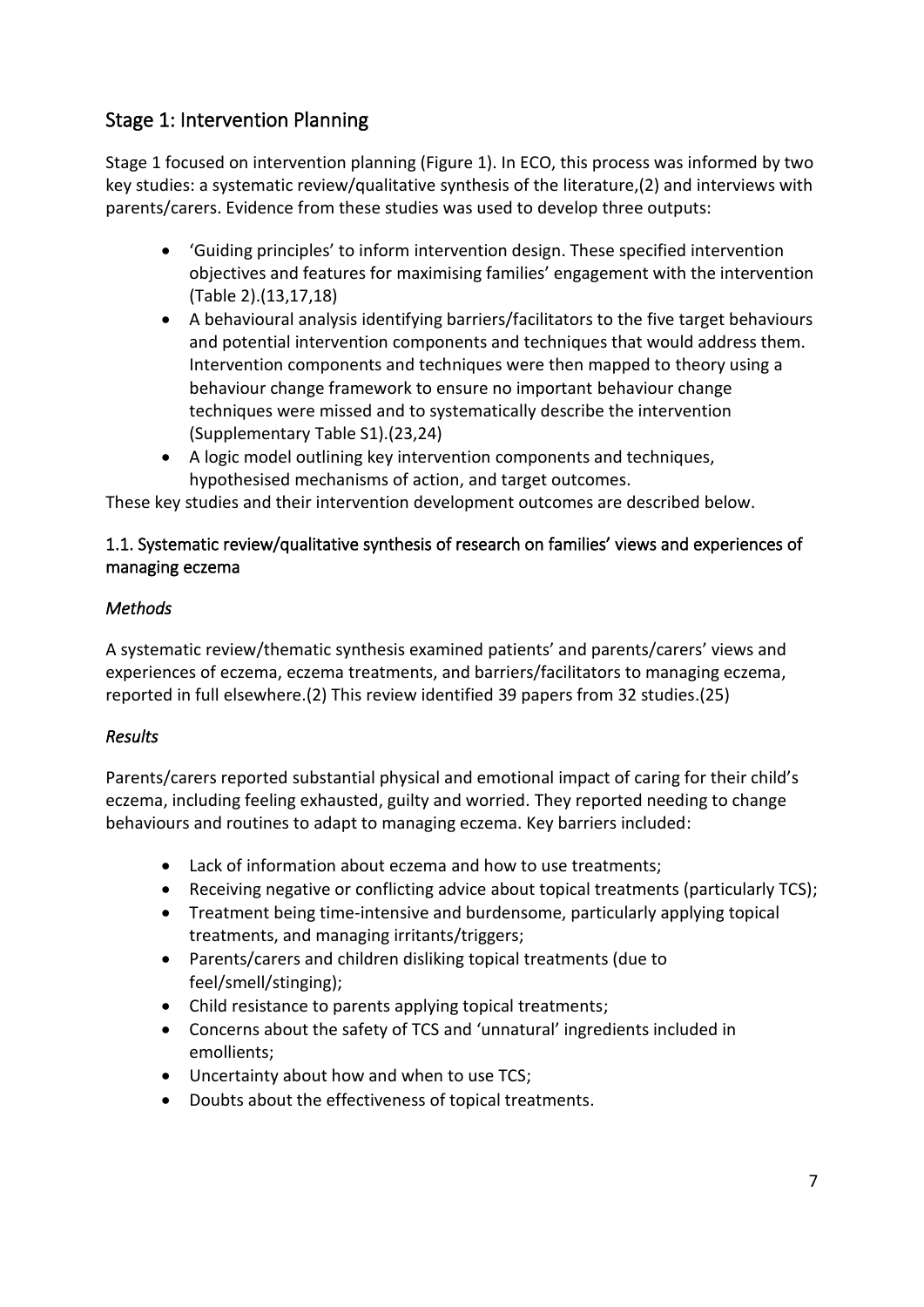# Stage 1: Intervention Planning

Stage 1 focused on intervention planning (Figure 1). In ECO, this process was informed by two key studies: a systematic review/qualitative synthesis of the literature,(2) and interviews with parents/carers. Evidence from these studies was used to develop three outputs:

- 'Guiding principles' to inform intervention design. These specified intervention objectives and features for maximising families' engagement with the intervention (Table 2).(13,17,18)
- A behavioural analysis identifying barriers/facilitators to the five target behaviours and potential intervention components and techniques that would address them. Intervention components and techniques were then mapped to theory using a behaviour change framework to ensure no important behaviour change techniques were missed and to systematically describe the intervention (Supplementary Table S1).(23,24)
- A logic model outlining key intervention components and techniques, hypothesised mechanisms of action, and target outcomes.

These key studies and their intervention development outcomes are described below.

### 1.1. Systematic review/qualitative synthesis of research on families' views and experiences of managing eczema

### *Methods*

A systematic review/thematic synthesis examined patients' and parents/carers' views and experiences of eczema, eczema treatments, and barriers/facilitators to managing eczema, reported in full elsewhere.(2) This review identified 39 papers from 32 studies.(25)

### *Results*

Parents/carers reported substantial physical and emotional impact of caring for their child's eczema, including feeling exhausted, guilty and worried. They reported needing to change behaviours and routines to adapt to managing eczema. Key barriers included:

- Lack of information about eczema and how to use treatments;
- Receiving negative or conflicting advice about topical treatments (particularly TCS);
- Treatment being time-intensive and burdensome, particularly applying topical treatments, and managing irritants/triggers;
- Parents/carers and children disliking topical treatments (due to feel/smell/stinging);
- Child resistance to parents applying topical treatments;
- Concerns about the safety of TCS and 'unnatural' ingredients included in emollients;
- Uncertainty about how and when to use TCS;
- Doubts about the effectiveness of topical treatments.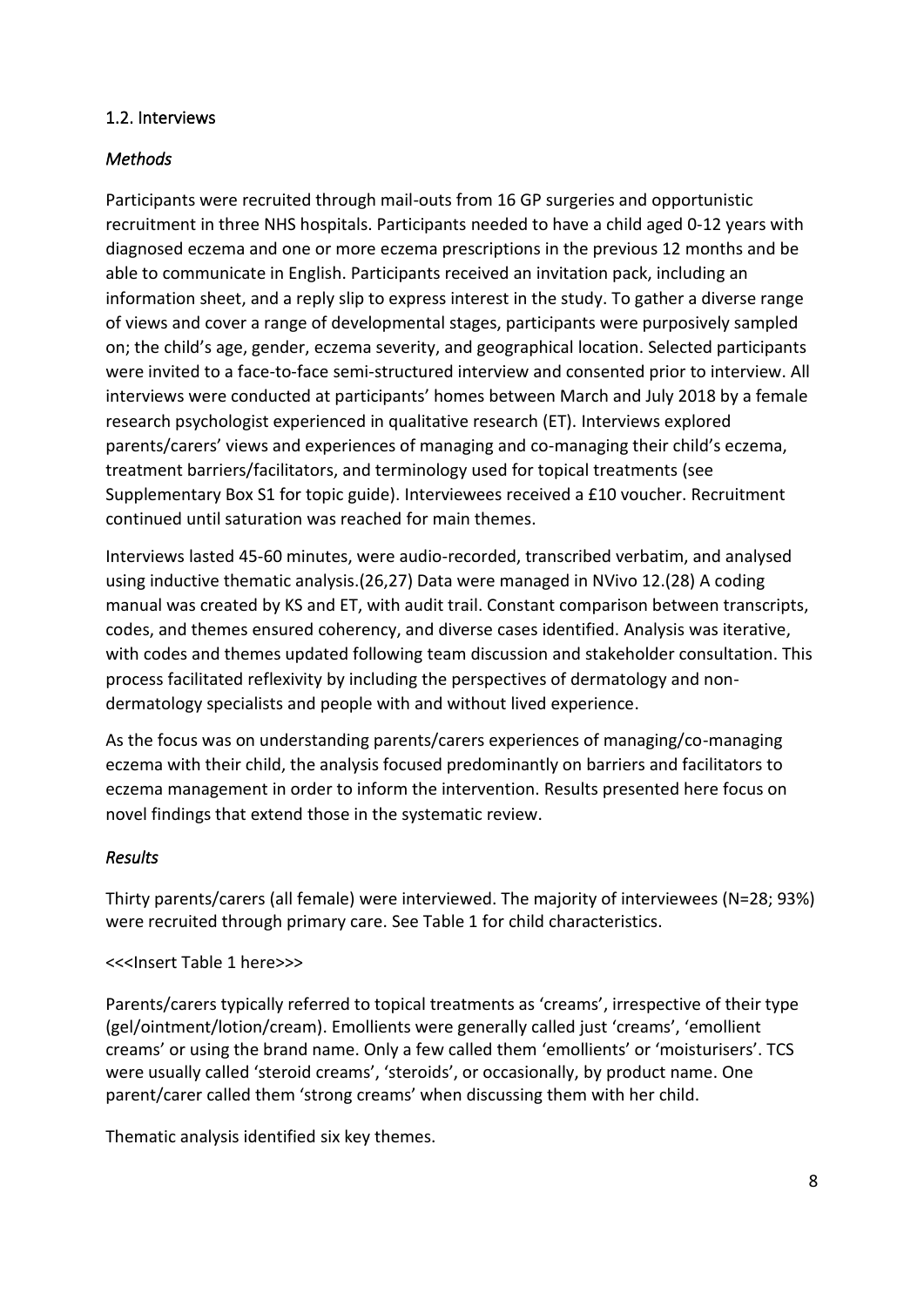#### 1.2. Interviews

### *Methods*

Participants were recruited through mail-outs from 16 GP surgeries and opportunistic recruitment in three NHS hospitals. Participants needed to have a child aged 0-12 years with diagnosed eczema and one or more eczema prescriptions in the previous 12 months and be able to communicate in English. Participants received an invitation pack, including an information sheet, and a reply slip to express interest in the study. To gather a diverse range of views and cover a range of developmental stages, participants were purposively sampled on; the child's age, gender, eczema severity, and geographical location. Selected participants were invited to a face-to-face semi-structured interview and consented prior to interview. All interviews were conducted at participants' homes between March and July 2018 by a female research psychologist experienced in qualitative research (ET). Interviews explored parents/carers' views and experiences of managing and co-managing their child's eczema, treatment barriers/facilitators, and terminology used for topical treatments (see Supplementary Box S1 for topic guide). Interviewees received a £10 voucher. Recruitment continued until saturation was reached for main themes.

Interviews lasted 45-60 minutes, were audio-recorded, transcribed verbatim, and analysed using inductive thematic analysis.(26,27) Data were managed in NVivo 12.(28) A coding manual was created by KS and ET, with audit trail. Constant comparison between transcripts, codes, and themes ensured coherency, and diverse cases identified. Analysis was iterative, with codes and themes updated following team discussion and stakeholder consultation. This process facilitated reflexivity by including the perspectives of dermatology and nondermatology specialists and people with and without lived experience.

As the focus was on understanding parents/carers experiences of managing/co-managing eczema with their child, the analysis focused predominantly on barriers and facilitators to eczema management in order to inform the intervention. Results presented here focus on novel findings that extend those in the systematic review.

#### *Results*

Thirty parents/carers (all female) were interviewed. The majority of interviewees (N=28; 93%) were recruited through primary care. See Table 1 for child characteristics.

<<<Insert Table 1 here>>>

Parents/carers typically referred to topical treatments as 'creams', irrespective of their type (gel/ointment/lotion/cream). Emollients were generally called just 'creams', 'emollient creams' or using the brand name. Only a few called them 'emollients' or 'moisturisers'. TCS were usually called 'steroid creams', 'steroids', or occasionally, by product name. One parent/carer called them 'strong creams' when discussing them with her child.

Thematic analysis identified six key themes.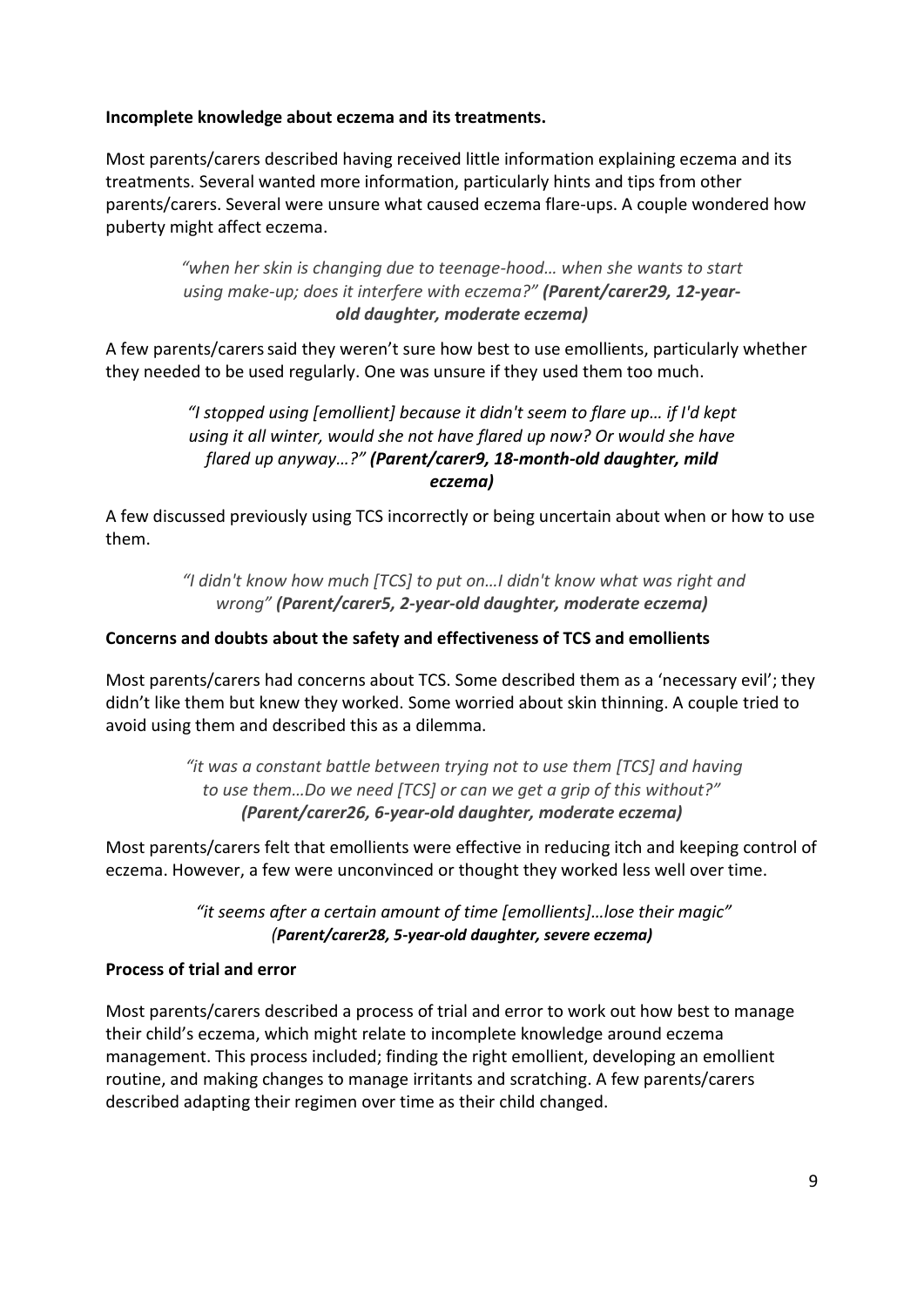#### **Incomplete knowledge about eczema and its treatments.**

Most parents/carers described having received little information explaining eczema and its treatments. Several wanted more information, particularly hints and tips from other parents/carers. Several were unsure what caused eczema flare-ups. A couple wondered how puberty might affect eczema.

> *"when her skin is changing due to teenage-hood… when she wants to start using make-up; does it interfere with eczema?" (Parent/carer29, 12-yearold daughter, moderate eczema)*

A few parents/carerssaid they weren't sure how best to use emollients, particularly whether they needed to be used regularly. One was unsure if they used them too much.

#### *"I stopped using [emollient] because it didn't seem to flare up… if I'd kept using it all winter, would she not have flared up now? Or would she have flared up anyway…?" (Parent/carer9, 18-month-old daughter, mild eczema)*

A few discussed previously using TCS incorrectly or being uncertain about when or how to use them.

> *"I didn't know how much [TCS] to put on…I didn't know what was right and wrong" (Parent/carer5, 2-year-old daughter, moderate eczema)*

#### **Concerns and doubts about the safety and effectiveness of TCS and emollients**

Most parents/carers had concerns about TCS. Some described them as a 'necessary evil'; they didn't like them but knew they worked. Some worried about skin thinning. A couple tried to avoid using them and described this as a dilemma.

> *"it was a constant battle between trying not to use them [TCS] and having to use them…Do we need [TCS] or can we get a grip of this without?" (Parent/carer26, 6-year-old daughter, moderate eczema)*

Most parents/carers felt that emollients were effective in reducing itch and keeping control of eczema. However, a few were unconvinced or thought they worked less well over time.

> *"it seems after a certain amount of time [emollients]…lose their magic" (Parent/carer28, 5-year-old daughter, severe eczema)*

#### **Process of trial and error**

Most parents/carers described a process of trial and error to work out how best to manage their child's eczema, which might relate to incomplete knowledge around eczema management. This process included; finding the right emollient, developing an emollient routine, and making changes to manage irritants and scratching. A few parents/carers described adapting their regimen over time as their child changed.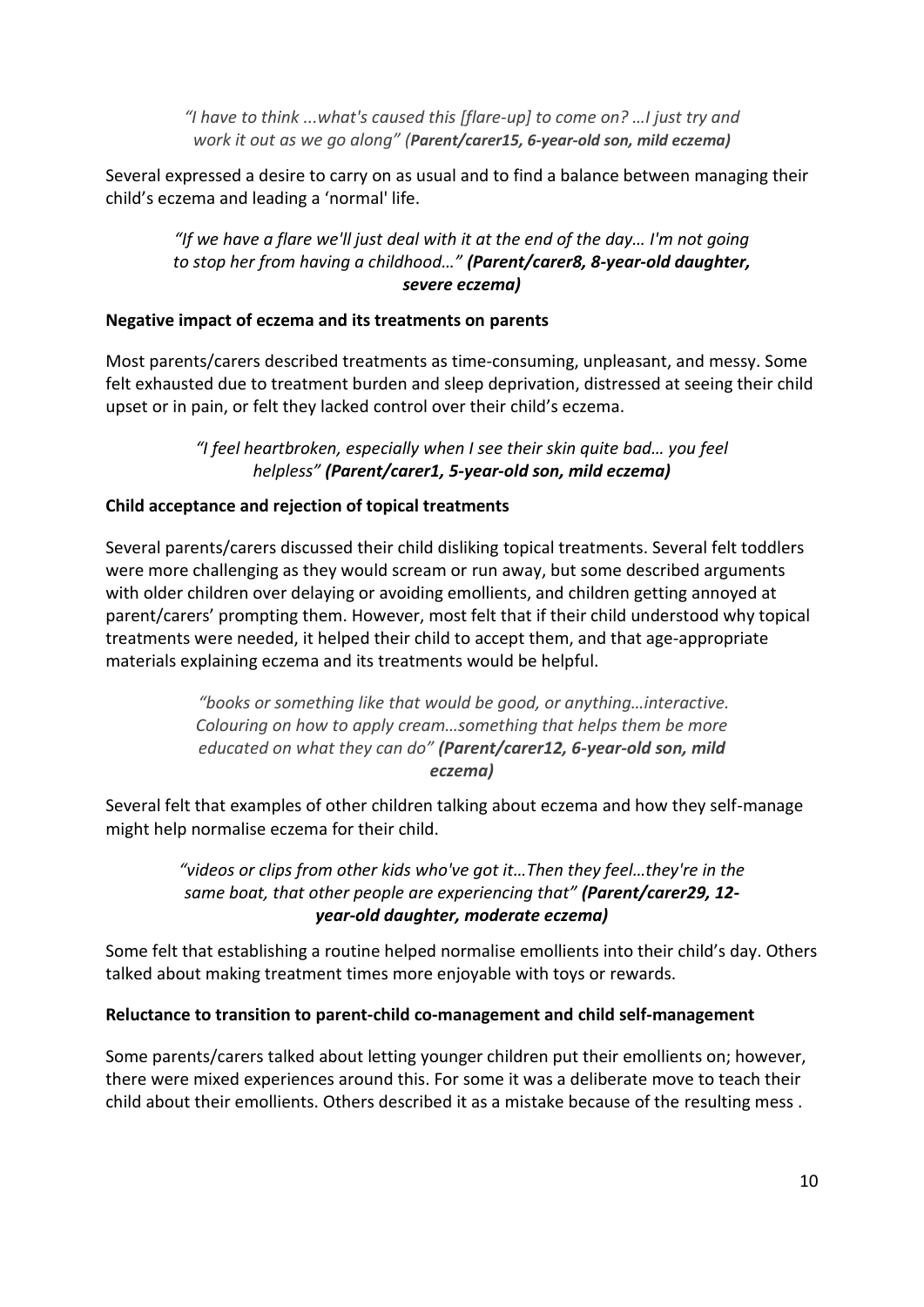*"I have to think ...what's caused this [flare-up] to come on? …I just try and work it out as we go along" (Parent/carer15, 6-year-old son, mild eczema)*

Several expressed a desire to carry on as usual and to find a balance between managing their child's eczema and leading a 'normal' life.

#### *"If we have a flare we'll just deal with it at the end of the day… I'm not going to stop her from having a childhood…" (Parent/carer8, 8-year-old daughter, severe eczema)*

#### **Negative impact of eczema and its treatments on parents**

Most parents/carers described treatments as time-consuming, unpleasant, and messy. Some felt exhausted due to treatment burden and sleep deprivation, distressed at seeing their child upset or in pain, or felt they lacked control over their child's eczema.

> *"I feel heartbroken, especially when I see their skin quite bad… you feel helpless" (Parent/carer1, 5-year-old son, mild eczema)*

#### **Child acceptance and rejection of topical treatments**

Several parents/carers discussed their child disliking topical treatments. Several felt toddlers were more challenging as they would scream or run away, but some described arguments with older children over delaying or avoiding emollients, and children getting annoyed at parent/carers' prompting them. However, most felt that if their child understood why topical treatments were needed, it helped their child to accept them, and that age-appropriate materials explaining eczema and its treatments would be helpful.

> *"books or something like that would be good, or anything…interactive. Colouring on how to apply cream…something that helps them be more educated on what they can do" (Parent/carer12, 6-year-old son, mild eczema)*

Several felt that examples of other children talking about eczema and how they self-manage might help normalise eczema for their child.

> *"videos or clips from other kids who've got it…Then they feel…they're in the same boat, that other people are experiencing that" (Parent/carer29, 12 year-old daughter, moderate eczema)*

Some felt that establishing a routine helped normalise emollients into their child's day. Others talked about making treatment times more enjoyable with toys or rewards.

#### **Reluctance to transition to parent-child co-management and child self-management**

Some parents/carers talked about letting younger children put their emollients on; however, there were mixed experiences around this. For some it was a deliberate move to teach their child about their emollients. Others described it as a mistake because of the resulting mess .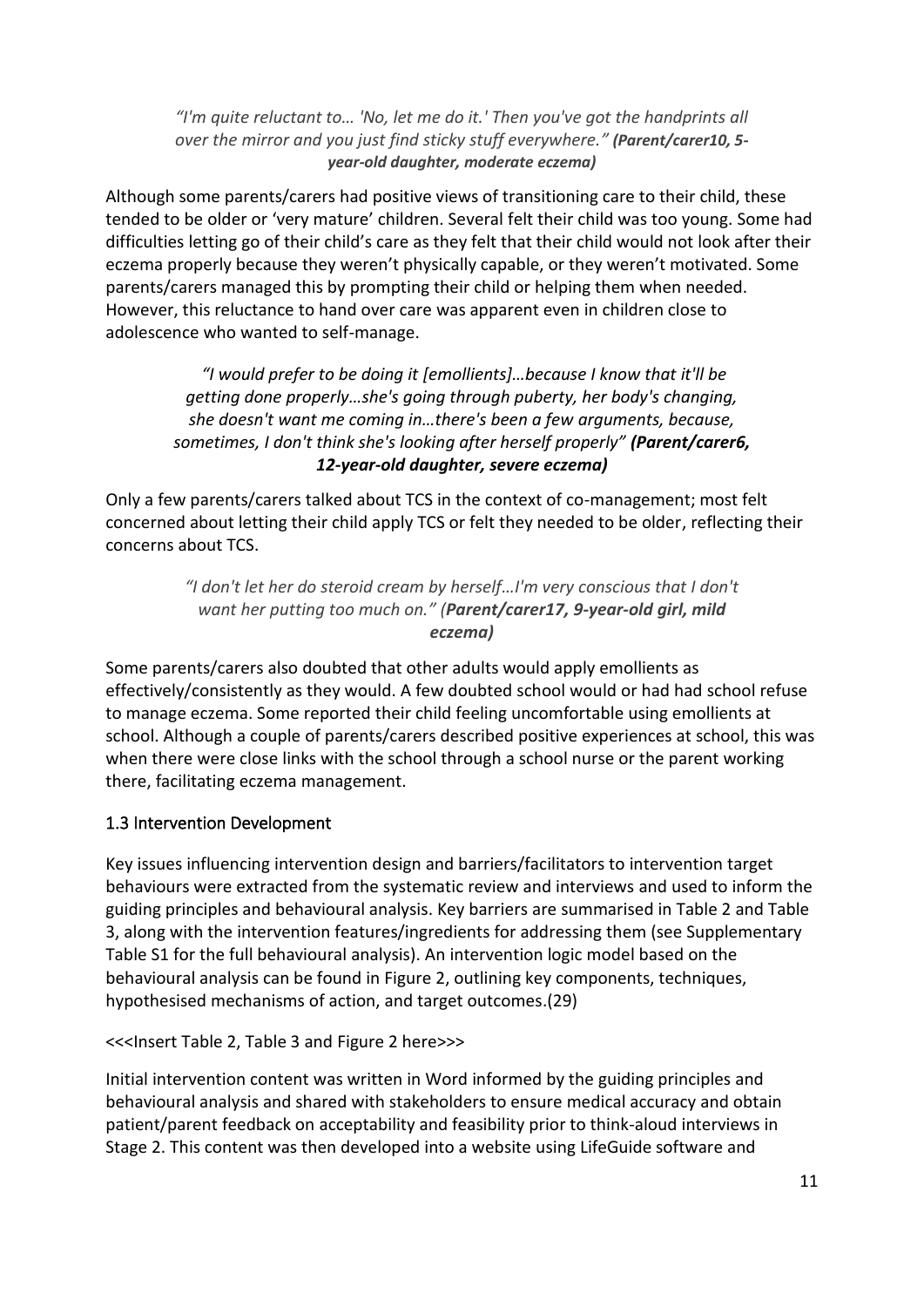*"I'm quite reluctant to… 'No, let me do it.' Then you've got the handprints all over the mirror and you just find sticky stuff everywhere." (Parent/carer10, 5 year-old daughter, moderate eczema)*

Although some parents/carers had positive views of transitioning care to their child, these tended to be older or 'very mature' children. Several felt their child was too young. Some had difficulties letting go of their child's care as they felt that their child would not look after their eczema properly because they weren't physically capable, or they weren't motivated. Some parents/carers managed this by prompting their child or helping them when needed. However, this reluctance to hand over care was apparent even in children close to adolescence who wanted to self-manage.

*"I would prefer to be doing it [emollients]…because I know that it'll be getting done properly…she's going through puberty, her body's changing, she doesn't want me coming in…there's been a few arguments, because, sometimes, I don't think she's looking after herself properly" (Parent/carer6, 12-year-old daughter, severe eczema)*

Only a few parents/carers talked about TCS in the context of co-management; most felt concerned about letting their child apply TCS or felt they needed to be older, reflecting their concerns about TCS.

> *"I don't let her do steroid cream by herself…I'm very conscious that I don't want her putting too much on." (Parent/carer17, 9-year-old girl, mild eczema)*

Some parents/carers also doubted that other adults would apply emollients as effectively/consistently as they would. A few doubted school would or had had school refuse to manage eczema. Some reported their child feeling uncomfortable using emollients at school. Although a couple of parents/carers described positive experiences at school, this was when there were close links with the school through a school nurse or the parent working there, facilitating eczema management.

### 1.3 Intervention Development

Key issues influencing intervention design and barriers/facilitators to intervention target behaviours were extracted from the systematic review and interviews and used to inform the guiding principles and behavioural analysis. Key barriers are summarised in Table 2 and Table 3, along with the intervention features/ingredients for addressing them (see Supplementary Table S1 for the full behavioural analysis). An intervention logic model based on the behavioural analysis can be found in Figure 2, outlining key components, techniques, hypothesised mechanisms of action, and target outcomes.(29)

<<<Insert Table 2, Table 3 and Figure 2 here>>>

Initial intervention content was written in Word informed by the guiding principles and behavioural analysis and shared with stakeholders to ensure medical accuracy and obtain patient/parent feedback on acceptability and feasibility prior to think-aloud interviews in Stage 2. This content was then developed into a website using LifeGuide software and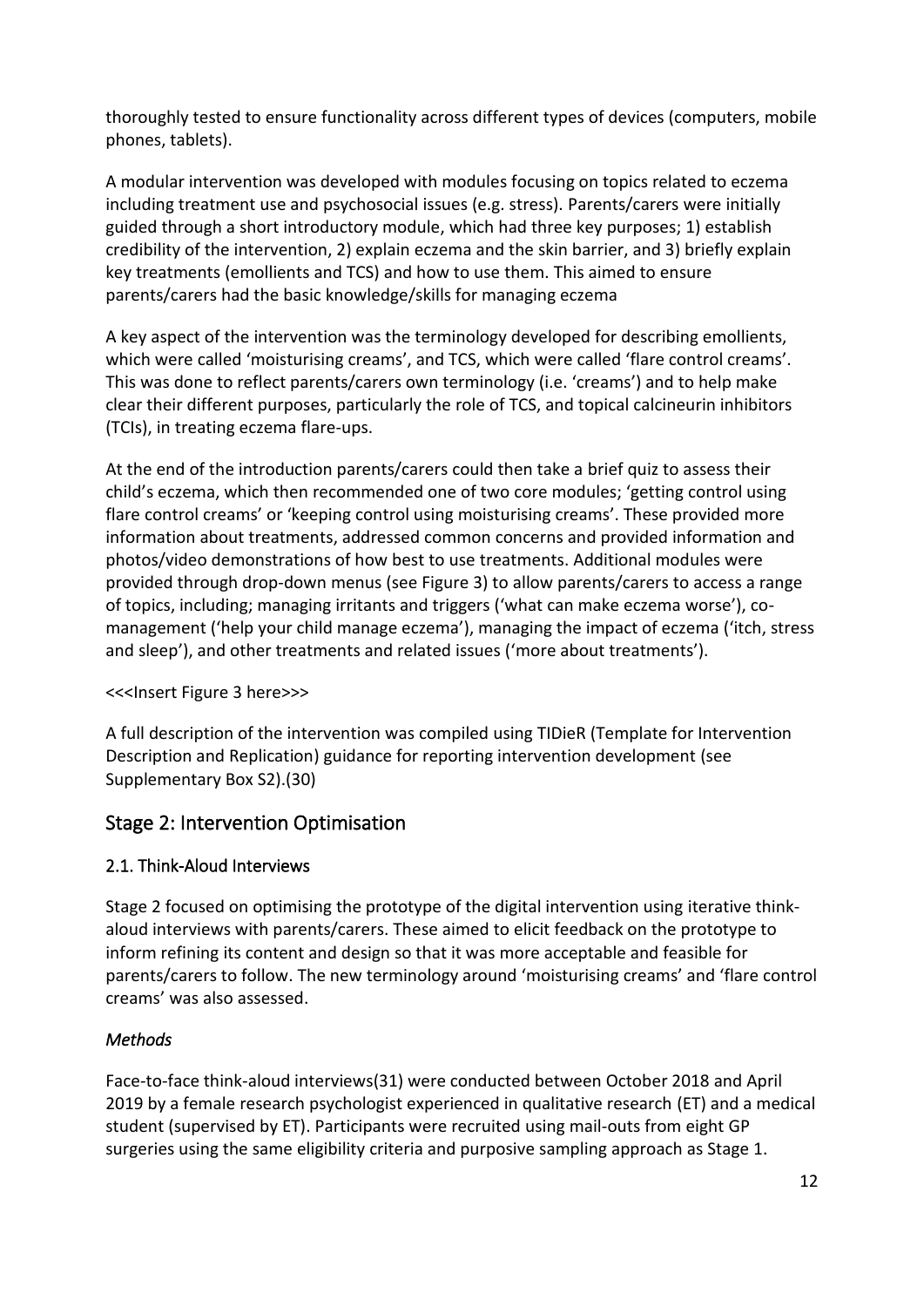thoroughly tested to ensure functionality across different types of devices (computers, mobile phones, tablets).

A modular intervention was developed with modules focusing on topics related to eczema including treatment use and psychosocial issues (e.g. stress). Parents/carers were initially guided through a short introductory module, which had three key purposes; 1) establish credibility of the intervention, 2) explain eczema and the skin barrier, and 3) briefly explain key treatments (emollients and TCS) and how to use them. This aimed to ensure parents/carers had the basic knowledge/skills for managing eczema

A key aspect of the intervention was the terminology developed for describing emollients, which were called 'moisturising creams', and TCS, which were called 'flare control creams'. This was done to reflect parents/carers own terminology (i.e. 'creams') and to help make clear their different purposes, particularly the role of TCS, and topical calcineurin inhibitors (TCIs), in treating eczema flare-ups.

At the end of the introduction parents/carers could then take a brief quiz to assess their child's eczema, which then recommended one of two core modules; 'getting control using flare control creams' or 'keeping control using moisturising creams'. These provided more information about treatments, addressed common concerns and provided information and photos/video demonstrations of how best to use treatments. Additional modules were provided through drop-down menus (see Figure 3) to allow parents/carers to access a range of topics, including; managing irritants and triggers ('what can make eczema worse'), comanagement ('help your child manage eczema'), managing the impact of eczema ('itch, stress and sleep'), and other treatments and related issues ('more about treatments').

### <<<Insert Figure 3 here>>>

A full description of the intervention was compiled using TIDieR (Template for Intervention Description and Replication) guidance for reporting intervention development (see Supplementary Box S2).(30)

### Stage 2: Intervention Optimisation

### 2.1. Think-Aloud Interviews

Stage 2 focused on optimising the prototype of the digital intervention using iterative thinkaloud interviews with parents/carers. These aimed to elicit feedback on the prototype to inform refining its content and design so that it was more acceptable and feasible for parents/carers to follow. The new terminology around 'moisturising creams' and 'flare control creams' was also assessed.

### *Methods*

Face-to-face think-aloud interviews(31) were conducted between October 2018 and April 2019 by a female research psychologist experienced in qualitative research (ET) and a medical student (supervised by ET). Participants were recruited using mail-outs from eight GP surgeries using the same eligibility criteria and purposive sampling approach as Stage 1.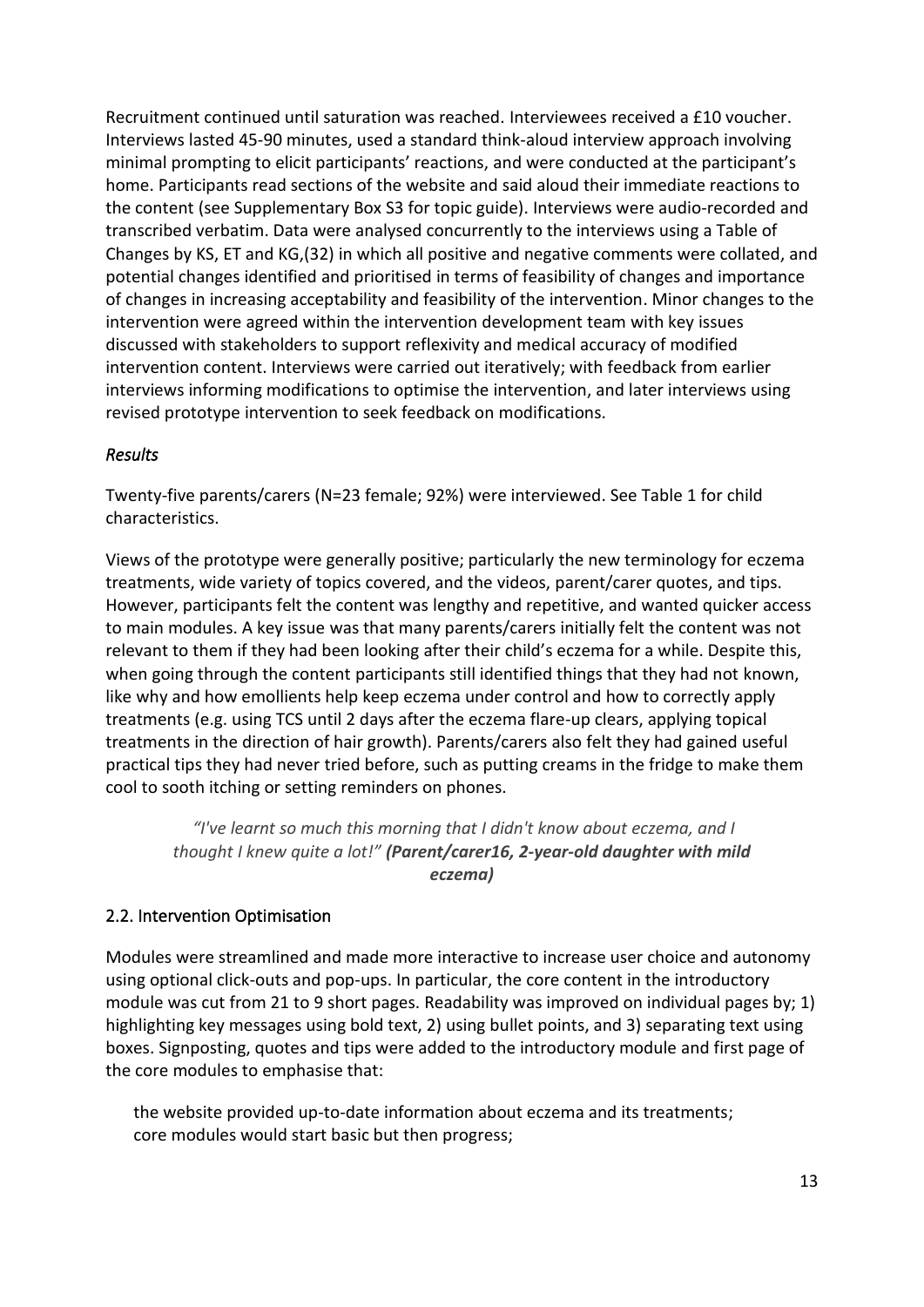Recruitment continued until saturation was reached. Interviewees received a £10 voucher. Interviews lasted 45-90 minutes, used a standard think-aloud interview approach involving minimal prompting to elicit participants' reactions, and were conducted at the participant's home. Participants read sections of the website and said aloud their immediate reactions to the content (see Supplementary Box S3 for topic guide). Interviews were audio-recorded and transcribed verbatim. Data were analysed concurrently to the interviews using a Table of Changes by KS, ET and KG,(32) in which all positive and negative comments were collated, and potential changes identified and prioritised in terms of feasibility of changes and importance of changes in increasing acceptability and feasibility of the intervention. Minor changes to the intervention were agreed within the intervention development team with key issues discussed with stakeholders to support reflexivity and medical accuracy of modified intervention content. Interviews were carried out iteratively; with feedback from earlier interviews informing modifications to optimise the intervention, and later interviews using revised prototype intervention to seek feedback on modifications.

#### *Results*

Twenty-five parents/carers (N=23 female; 92%) were interviewed. See Table 1 for child characteristics.

Views of the prototype were generally positive; particularly the new terminology for eczema treatments, wide variety of topics covered, and the videos, parent/carer quotes, and tips. However, participants felt the content was lengthy and repetitive, and wanted quicker access to main modules. A key issue was that many parents/carers initially felt the content was not relevant to them if they had been looking after their child's eczema for a while. Despite this, when going through the content participants still identified things that they had not known, like why and how emollients help keep eczema under control and how to correctly apply treatments (e.g. using TCS until 2 days after the eczema flare-up clears, applying topical treatments in the direction of hair growth). Parents/carers also felt they had gained useful practical tips they had never tried before, such as putting creams in the fridge to make them cool to sooth itching or setting reminders on phones.

*"I've learnt so much this morning that I didn't know about eczema, and I thought I knew quite a lot!" (Parent/carer16, 2-year-old daughter with mild eczema)*

### 2.2. Intervention Optimisation

Modules were streamlined and made more interactive to increase user choice and autonomy using optional click-outs and pop-ups. In particular, the core content in the introductory module was cut from 21 to 9 short pages. Readability was improved on individual pages by; 1) highlighting key messages using bold text, 2) using bullet points, and 3) separating text using boxes. Signposting, quotes and tips were added to the introductory module and first page of the core modules to emphasise that:

the website provided up-to-date information about eczema and its treatments; core modules would start basic but then progress;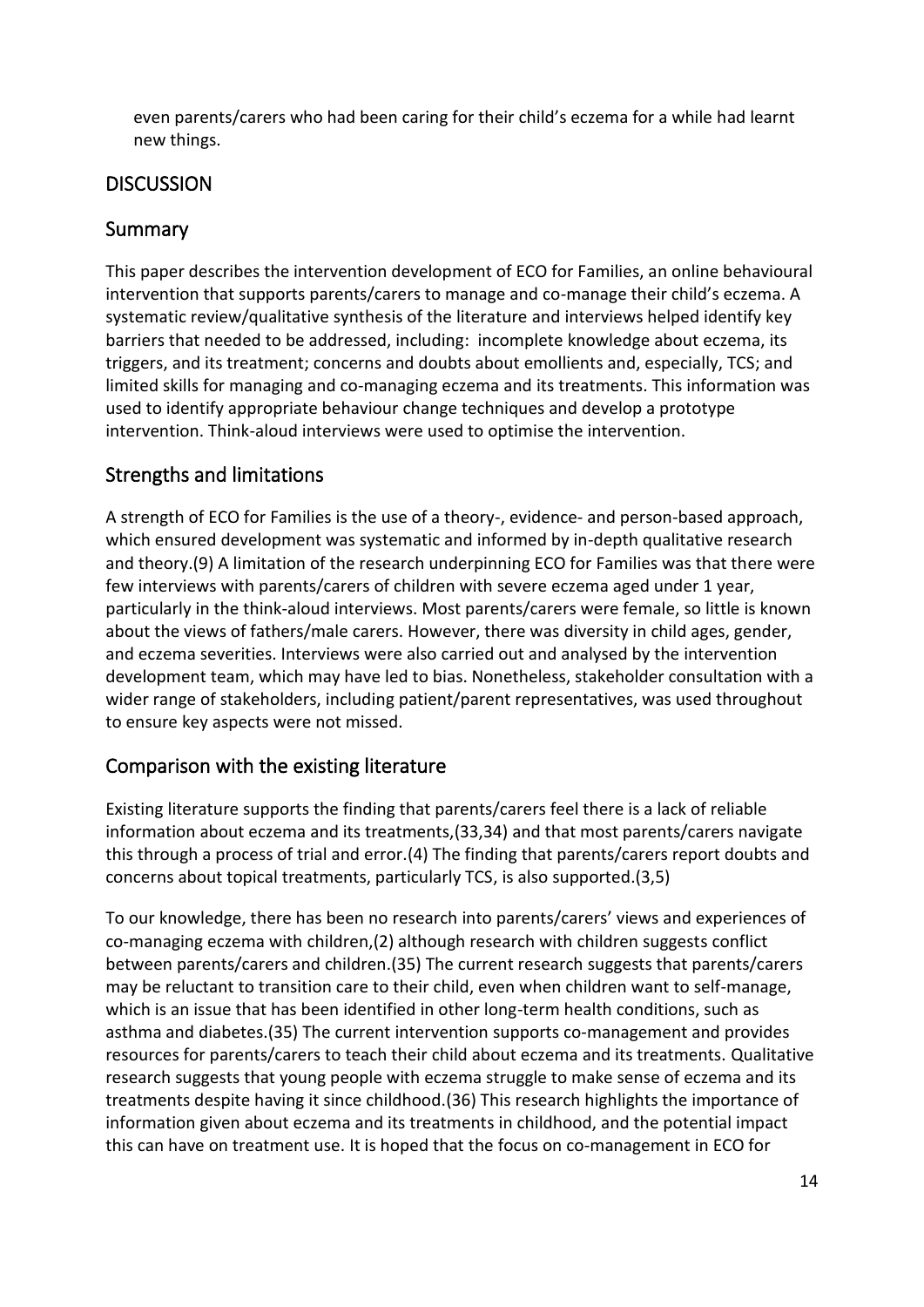even parents/carers who had been caring for their child's eczema for a while had learnt new things.

### **DISCUSSION**

## Summary

This paper describes the intervention development of ECO for Families, an online behavioural intervention that supports parents/carers to manage and co-manage their child's eczema. A systematic review/qualitative synthesis of the literature and interviews helped identify key barriers that needed to be addressed, including: incomplete knowledge about eczema, its triggers, and its treatment; concerns and doubts about emollients and, especially, TCS; and limited skills for managing and co-managing eczema and its treatments. This information was used to identify appropriate behaviour change techniques and develop a prototype intervention. Think-aloud interviews were used to optimise the intervention.

## Strengths and limitations

A strength of ECO for Families is the use of a theory-, evidence- and person-based approach, which ensured development was systematic and informed by in-depth qualitative research and theory.(9) A limitation of the research underpinning ECO for Families was that there were few interviews with parents/carers of children with severe eczema aged under 1 year, particularly in the think-aloud interviews. Most parents/carers were female, so little is known about the views of fathers/male carers. However, there was diversity in child ages, gender, and eczema severities. Interviews were also carried out and analysed by the intervention development team, which may have led to bias. Nonetheless, stakeholder consultation with a wider range of stakeholders, including patient/parent representatives, was used throughout to ensure key aspects were not missed.

### Comparison with the existing literature

Existing literature supports the finding that parents/carers feel there is a lack of reliable information about eczema and its treatments,(33,34) and that most parents/carers navigate this through a process of trial and error.(4) The finding that parents/carers report doubts and concerns about topical treatments, particularly TCS, is also supported.(3,5)

To our knowledge, there has been no research into parents/carers' views and experiences of co-managing eczema with children,(2) although research with children suggests conflict between parents/carers and children.(35) The current research suggests that parents/carers may be reluctant to transition care to their child, even when children want to self-manage, which is an issue that has been identified in other long-term health conditions, such as asthma and diabetes.(35) The current intervention supports co-management and provides resources for parents/carers to teach their child about eczema and its treatments. Qualitative research suggests that young people with eczema struggle to make sense of eczema and its treatments despite having it since childhood.(36) This research highlights the importance of information given about eczema and its treatments in childhood, and the potential impact this can have on treatment use. It is hoped that the focus on co-management in ECO for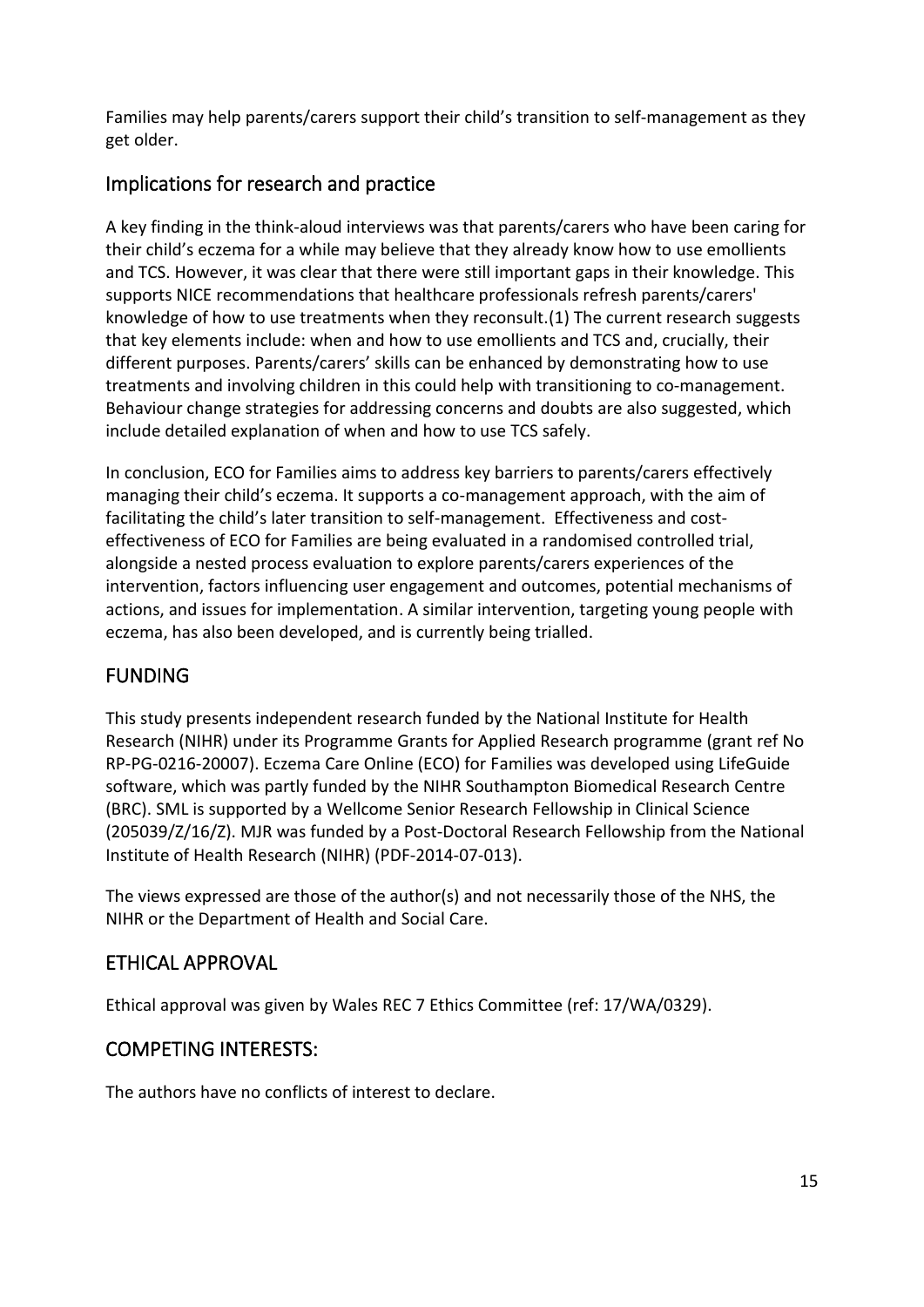Families may help parents/carers support their child's transition to self-management as they get older.

## Implications for research and practice

A key finding in the think-aloud interviews was that parents/carers who have been caring for their child's eczema for a while may believe that they already know how to use emollients and TCS. However, it was clear that there were still important gaps in their knowledge. This supports NICE recommendations that healthcare professionals refresh parents/carers' knowledge of how to use treatments when they reconsult.(1) The current research suggests that key elements include: when and how to use emollients and TCS and, crucially, their different purposes. Parents/carers' skills can be enhanced by demonstrating how to use treatments and involving children in this could help with transitioning to co-management. Behaviour change strategies for addressing concerns and doubts are also suggested, which include detailed explanation of when and how to use TCS safely.

In conclusion, ECO for Families aims to address key barriers to parents/carers effectively managing their child's eczema. It supports a co-management approach, with the aim of facilitating the child's later transition to self-management. Effectiveness and costeffectiveness of ECO for Families are being evaluated in a randomised controlled trial, alongside a nested process evaluation to explore parents/carers experiences of the intervention, factors influencing user engagement and outcomes, potential mechanisms of actions, and issues for implementation. A similar intervention, targeting young people with eczema, has also been developed, and is currently being trialled.

# FUNDING

This study presents independent research funded by the National Institute for Health Research (NIHR) under its Programme Grants for Applied Research programme (grant ref No RP-PG-0216-20007). Eczema Care Online (ECO) for Families was developed using LifeGuide software, which was partly funded by the NIHR Southampton Biomedical Research Centre (BRC). SML is supported by a Wellcome Senior Research Fellowship in Clinical Science (205039/Z/16/Z). MJR was funded by a Post-Doctoral Research Fellowship from the National Institute of Health Research (NIHR) (PDF-2014-07-013).

The views expressed are those of the author(s) and not necessarily those of the NHS, the NIHR or the Department of Health and Social Care.

# ETHICAL APPROVAL

Ethical approval was given by Wales REC 7 Ethics Committee (ref: 17/WA/0329).

# COMPETING INTERESTS:

The authors have no conflicts of interest to declare.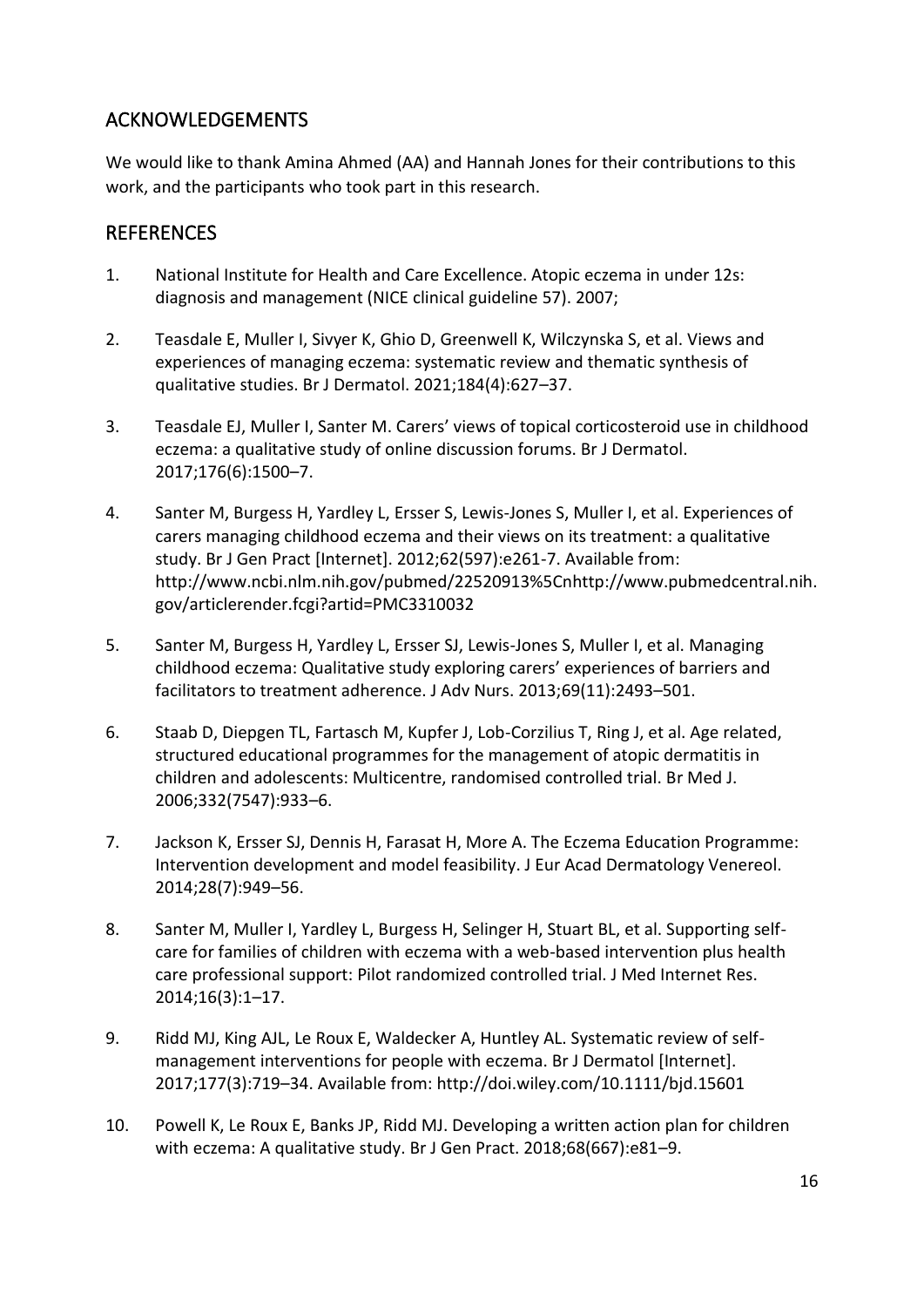## ACKNOWLEDGEMENTS

We would like to thank Amina Ahmed (AA) and Hannah Jones for their contributions to this work, and the participants who took part in this research.

### **REFERENCES**

- 1. National Institute for Health and Care Excellence. Atopic eczema in under 12s: diagnosis and management (NICE clinical guideline 57). 2007;
- 2. Teasdale E, Muller I, Sivyer K, Ghio D, Greenwell K, Wilczynska S, et al. Views and experiences of managing eczema: systematic review and thematic synthesis of qualitative studies. Br J Dermatol. 2021;184(4):627–37.
- 3. Teasdale EJ, Muller I, Santer M. Carers' views of topical corticosteroid use in childhood eczema: a qualitative study of online discussion forums. Br J Dermatol. 2017;176(6):1500–7.
- 4. Santer M, Burgess H, Yardley L, Ersser S, Lewis-Jones S, Muller I, et al. Experiences of carers managing childhood eczema and their views on its treatment: a qualitative study. Br J Gen Pract [Internet]. 2012;62(597):e261-7. Available from: http://www.ncbi.nlm.nih.gov/pubmed/22520913%5Cnhttp://www.pubmedcentral.nih. gov/articlerender.fcgi?artid=PMC3310032
- 5. Santer M, Burgess H, Yardley L, Ersser SJ, Lewis-Jones S, Muller I, et al. Managing childhood eczema: Qualitative study exploring carers' experiences of barriers and facilitators to treatment adherence. J Adv Nurs. 2013;69(11):2493–501.
- 6. Staab D, Diepgen TL, Fartasch M, Kupfer J, Lob-Corzilius T, Ring J, et al. Age related, structured educational programmes for the management of atopic dermatitis in children and adolescents: Multicentre, randomised controlled trial. Br Med J. 2006;332(7547):933–6.
- 7. Jackson K, Ersser SJ, Dennis H, Farasat H, More A. The Eczema Education Programme: Intervention development and model feasibility. J Eur Acad Dermatology Venereol. 2014;28(7):949–56.
- 8. Santer M, Muller I, Yardley L, Burgess H, Selinger H, Stuart BL, et al. Supporting selfcare for families of children with eczema with a web-based intervention plus health care professional support: Pilot randomized controlled trial. J Med Internet Res. 2014;16(3):1–17.
- 9. Ridd MJ, King AJL, Le Roux E, Waldecker A, Huntley AL. Systematic review of selfmanagement interventions for people with eczema. Br J Dermatol [Internet]. 2017;177(3):719–34. Available from: http://doi.wiley.com/10.1111/bjd.15601
- 10. Powell K, Le Roux E, Banks JP, Ridd MJ. Developing a written action plan for children with eczema: A qualitative study. Br J Gen Pract. 2018;68(667):e81–9.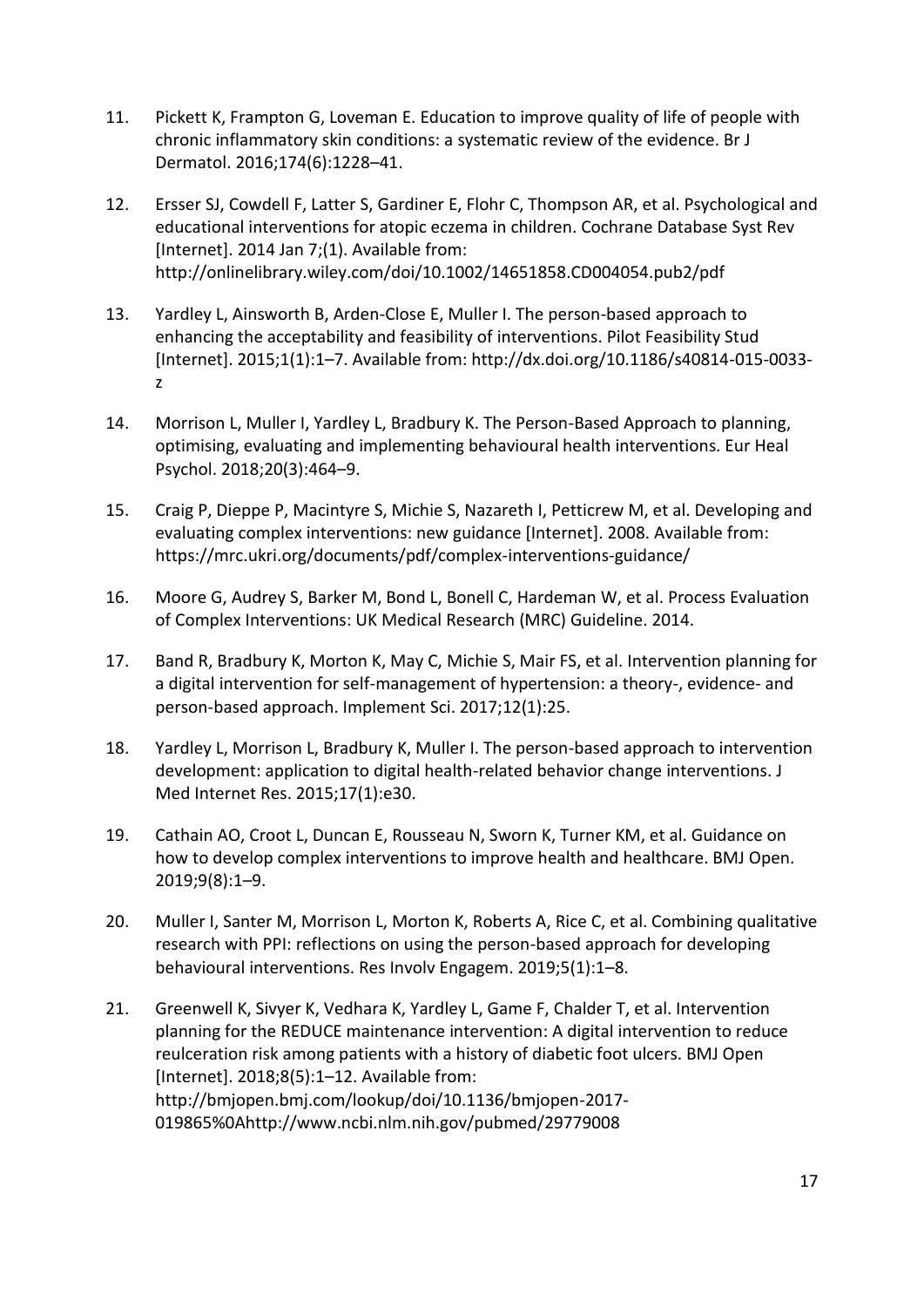- 11. Pickett K, Frampton G, Loveman E. Education to improve quality of life of people with chronic inflammatory skin conditions: a systematic review of the evidence. Br J Dermatol. 2016;174(6):1228–41.
- 12. Ersser SJ, Cowdell F, Latter S, Gardiner E, Flohr C, Thompson AR, et al. Psychological and educational interventions for atopic eczema in children. Cochrane Database Syst Rev [Internet]. 2014 Jan 7;(1). Available from: http://onlinelibrary.wiley.com/doi/10.1002/14651858.CD004054.pub2/pdf
- 13. Yardley L, Ainsworth B, Arden-Close E, Muller I. The person-based approach to enhancing the acceptability and feasibility of interventions. Pilot Feasibility Stud [Internet]. 2015;1(1):1–7. Available from: http://dx.doi.org/10.1186/s40814-015-0033 z
- 14. Morrison L, Muller I, Yardley L, Bradbury K. The Person-Based Approach to planning, optimising, evaluating and implementing behavioural health interventions. Eur Heal Psychol. 2018;20(3):464–9.
- 15. Craig P, Dieppe P, Macintyre S, Michie S, Nazareth I, Petticrew M, et al. Developing and evaluating complex interventions: new guidance [Internet]. 2008. Available from: https://mrc.ukri.org/documents/pdf/complex-interventions-guidance/
- 16. Moore G, Audrey S, Barker M, Bond L, Bonell C, Hardeman W, et al. Process Evaluation of Complex Interventions: UK Medical Research (MRC) Guideline. 2014.
- 17. Band R, Bradbury K, Morton K, May C, Michie S, Mair FS, et al. Intervention planning for a digital intervention for self-management of hypertension: a theory-, evidence- and person-based approach. Implement Sci. 2017;12(1):25.
- 18. Yardley L, Morrison L, Bradbury K, Muller I. The person-based approach to intervention development: application to digital health-related behavior change interventions. J Med Internet Res. 2015;17(1):e30.
- 19. Cathain AO, Croot L, Duncan E, Rousseau N, Sworn K, Turner KM, et al. Guidance on how to develop complex interventions to improve health and healthcare. BMJ Open. 2019;9(8):1–9.
- 20. Muller I, Santer M, Morrison L, Morton K, Roberts A, Rice C, et al. Combining qualitative research with PPI: reflections on using the person-based approach for developing behavioural interventions. Res Involv Engagem. 2019;5(1):1–8.
- 21. Greenwell K, Sivyer K, Vedhara K, Yardley L, Game F, Chalder T, et al. Intervention planning for the REDUCE maintenance intervention: A digital intervention to reduce reulceration risk among patients with a history of diabetic foot ulcers. BMJ Open [Internet]. 2018;8(5):1–12. Available from: http://bmjopen.bmj.com/lookup/doi/10.1136/bmjopen-2017- 019865%0Ahttp://www.ncbi.nlm.nih.gov/pubmed/29779008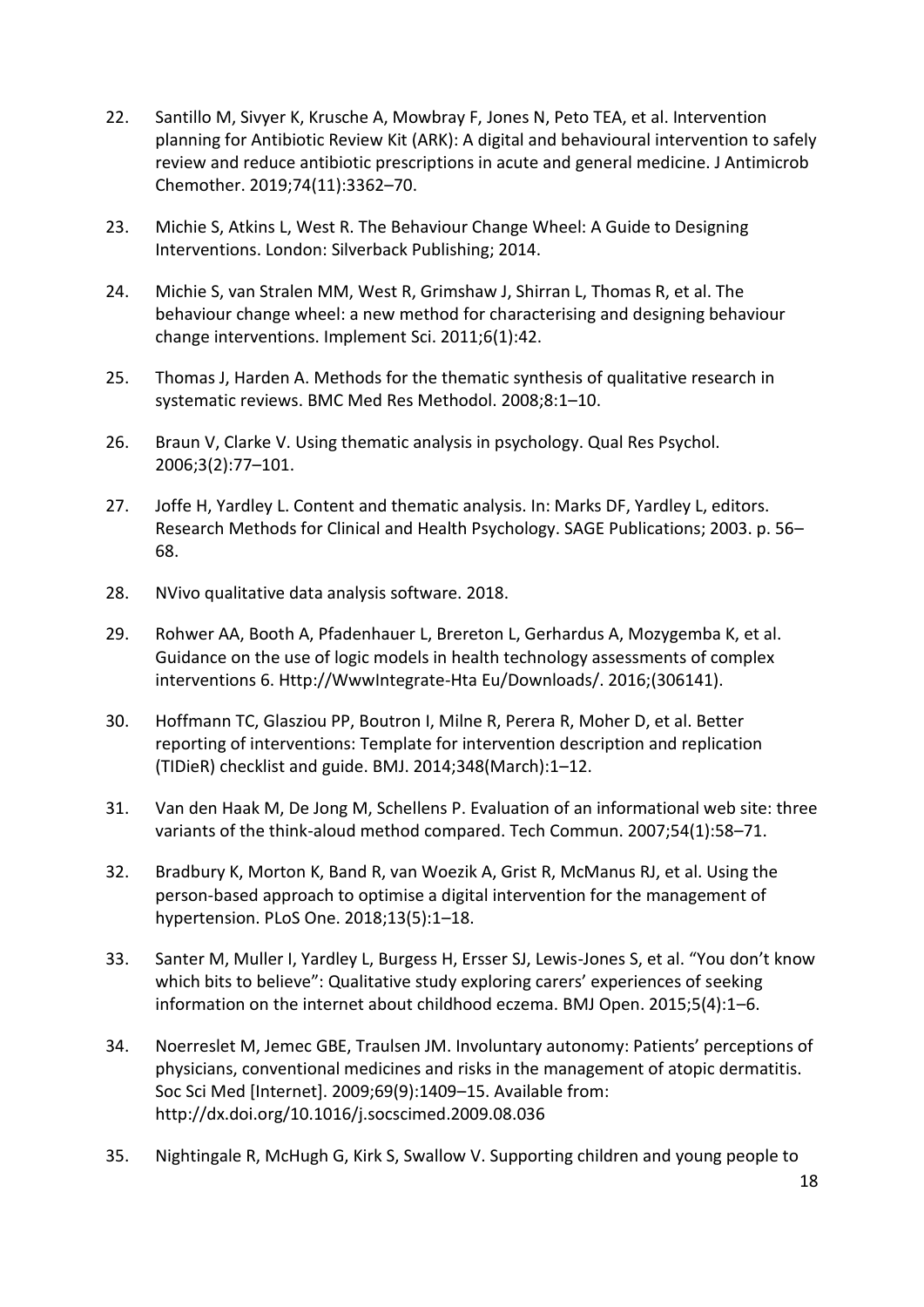- 22. Santillo M, Sivyer K, Krusche A, Mowbray F, Jones N, Peto TEA, et al. Intervention planning for Antibiotic Review Kit (ARK): A digital and behavioural intervention to safely review and reduce antibiotic prescriptions in acute and general medicine. J Antimicrob Chemother. 2019;74(11):3362–70.
- 23. Michie S, Atkins L, West R. The Behaviour Change Wheel: A Guide to Designing Interventions. London: Silverback Publishing; 2014.
- 24. Michie S, van Stralen MM, West R, Grimshaw J, Shirran L, Thomas R, et al. The behaviour change wheel: a new method for characterising and designing behaviour change interventions. Implement Sci. 2011;6(1):42.
- 25. Thomas J, Harden A. Methods for the thematic synthesis of qualitative research in systematic reviews. BMC Med Res Methodol. 2008;8:1–10.
- 26. Braun V, Clarke V. Using thematic analysis in psychology. Qual Res Psychol. 2006;3(2):77–101.
- 27. Joffe H, Yardley L. Content and thematic analysis. In: Marks DF, Yardley L, editors. Research Methods for Clinical and Health Psychology. SAGE Publications; 2003. p. 56– 68.
- 28. NVivo qualitative data analysis software. 2018.
- 29. Rohwer AA, Booth A, Pfadenhauer L, Brereton L, Gerhardus A, Mozygemba K, et al. Guidance on the use of logic models in health technology assessments of complex interventions 6. Http://WwwIntegrate-Hta Eu/Downloads/. 2016;(306141).
- 30. Hoffmann TC, Glasziou PP, Boutron I, Milne R, Perera R, Moher D, et al. Better reporting of interventions: Template for intervention description and replication (TIDieR) checklist and guide. BMJ. 2014;348(March):1–12.
- 31. Van den Haak M, De Jong M, Schellens P. Evaluation of an informational web site: three variants of the think-aloud method compared. Tech Commun. 2007;54(1):58–71.
- 32. Bradbury K, Morton K, Band R, van Woezik A, Grist R, McManus RJ, et al. Using the person-based approach to optimise a digital intervention for the management of hypertension. PLoS One. 2018;13(5):1–18.
- 33. Santer M, Muller I, Yardley L, Burgess H, Ersser SJ, Lewis-Jones S, et al. "You don't know which bits to believe": Qualitative study exploring carers' experiences of seeking information on the internet about childhood eczema. BMJ Open. 2015;5(4):1–6.
- 34. Noerreslet M, Jemec GBE, Traulsen JM. Involuntary autonomy: Patients' perceptions of physicians, conventional medicines and risks in the management of atopic dermatitis. Soc Sci Med [Internet]. 2009;69(9):1409–15. Available from: http://dx.doi.org/10.1016/j.socscimed.2009.08.036
- 35. Nightingale R, McHugh G, Kirk S, Swallow V. Supporting children and young people to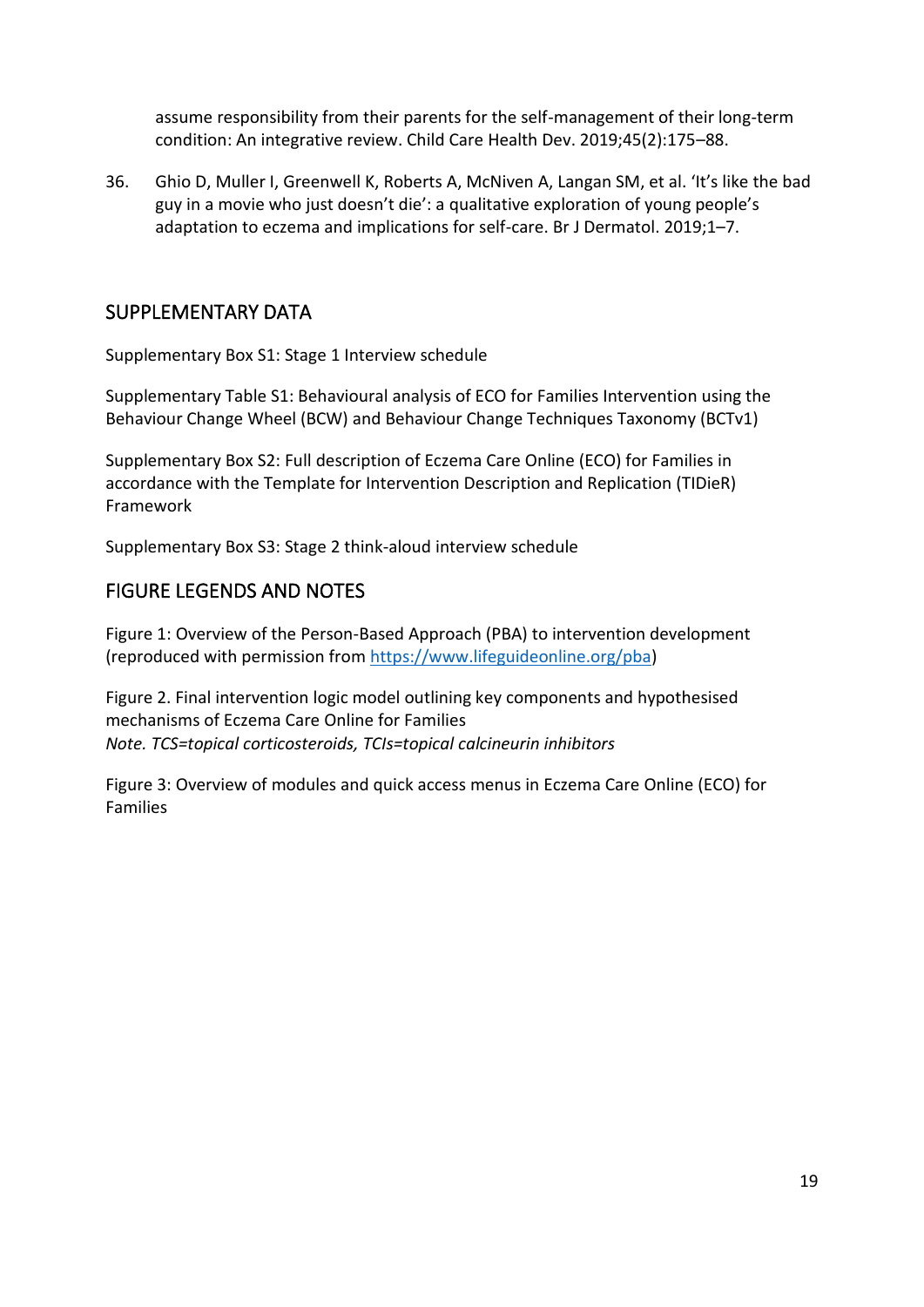assume responsibility from their parents for the self-management of their long-term condition: An integrative review. Child Care Health Dev. 2019;45(2):175–88.

36. Ghio D, Muller I, Greenwell K, Roberts A, McNiven A, Langan SM, et al. 'It's like the bad guy in a movie who just doesn't die': a qualitative exploration of young people's adaptation to eczema and implications for self-care. Br J Dermatol. 2019;1–7.

### SUPPLEMENTARY DATA

Supplementary Box S1: Stage 1 Interview schedule

Supplementary Table S1: Behavioural analysis of ECO for Families Intervention using the Behaviour Change Wheel (BCW) and Behaviour Change Techniques Taxonomy (BCTv1)

Supplementary Box S2: Full description of Eczema Care Online (ECO) for Families in accordance with the Template for Intervention Description and Replication (TIDieR) Framework

Supplementary Box S3: Stage 2 think-aloud interview schedule

### FIGURE LEGENDS AND NOTES

Figure 1: Overview of the Person-Based Approach (PBA) to intervention development (reproduced with permission from [https://www.lifeguideonline.org/pba\)](https://www.lifeguideonline.org/pba)

Figure 2. Final intervention logic model outlining key components and hypothesised mechanisms of Eczema Care Online for Families *Note. TCS=topical corticosteroids, TCIs=topical calcineurin inhibitors*

Figure 3: Overview of modules and quick access menus in Eczema Care Online (ECO) for Families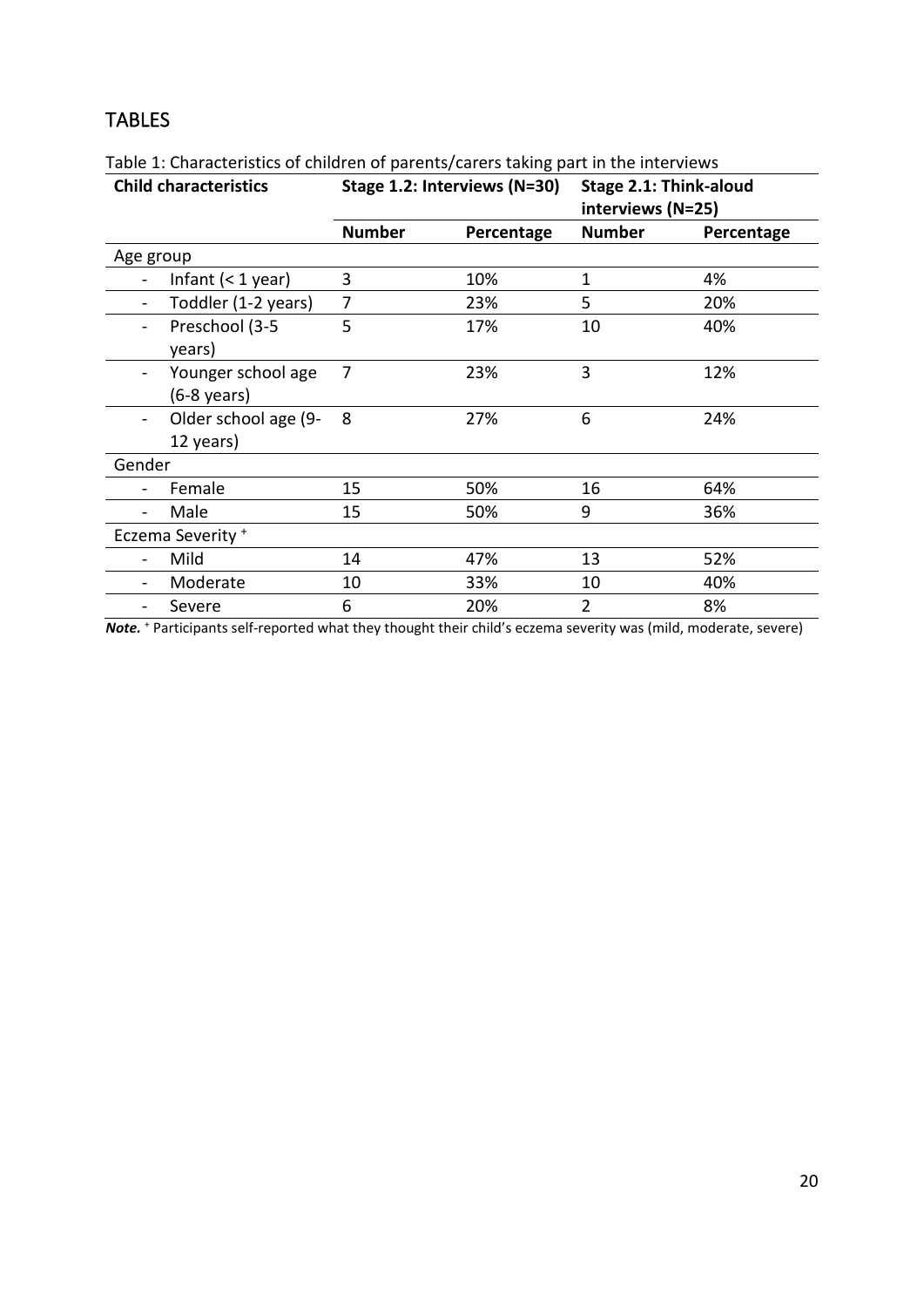# TABLES

| <b>Child characteristics</b> |                                   | Stage 1.2: Interviews (N=30) |            | Stage 2.1: Think-aloud<br>interviews (N=25) |            |
|------------------------------|-----------------------------------|------------------------------|------------|---------------------------------------------|------------|
|                              |                                   | <b>Number</b>                | Percentage | <b>Number</b>                               | Percentage |
| Age group                    |                                   |                              |            |                                             |            |
|                              | Infant $(1 year)$                 | 3                            | 10%        | 1                                           | 4%         |
|                              | Toddler (1-2 years)               | 7                            | 23%        | 5                                           | 20%        |
| $\blacksquare$               | Preschool (3-5<br>years)          | 5                            | 17%        | 10                                          | 40%        |
|                              | Younger school age<br>(6-8 years) | 7                            | 23%        | 3                                           | 12%        |
| $\qquad \qquad -$            | Older school age (9-<br>12 years) | 8                            | 27%        | 6                                           | 24%        |
| Gender                       |                                   |                              |            |                                             |            |
|                              | Female                            | 15                           | 50%        | 16                                          | 64%        |
|                              | Male                              | 15                           | 50%        | 9                                           | 36%        |
| Eczema Severity <sup>+</sup> |                                   |                              |            |                                             |            |
|                              | Mild                              | 14                           | 47%        | 13                                          | 52%        |
|                              | Moderate                          | 10                           | 33%        | 10                                          | 40%        |
|                              | Severe                            | 6                            | 20%        | $\overline{2}$                              | 8%         |

Table 1: Characteristics of children of parents/carers taking part in the interviews

*Note.* <sup>+</sup> Participants self-reported what they thought their child's eczema severity was (mild, moderate, severe)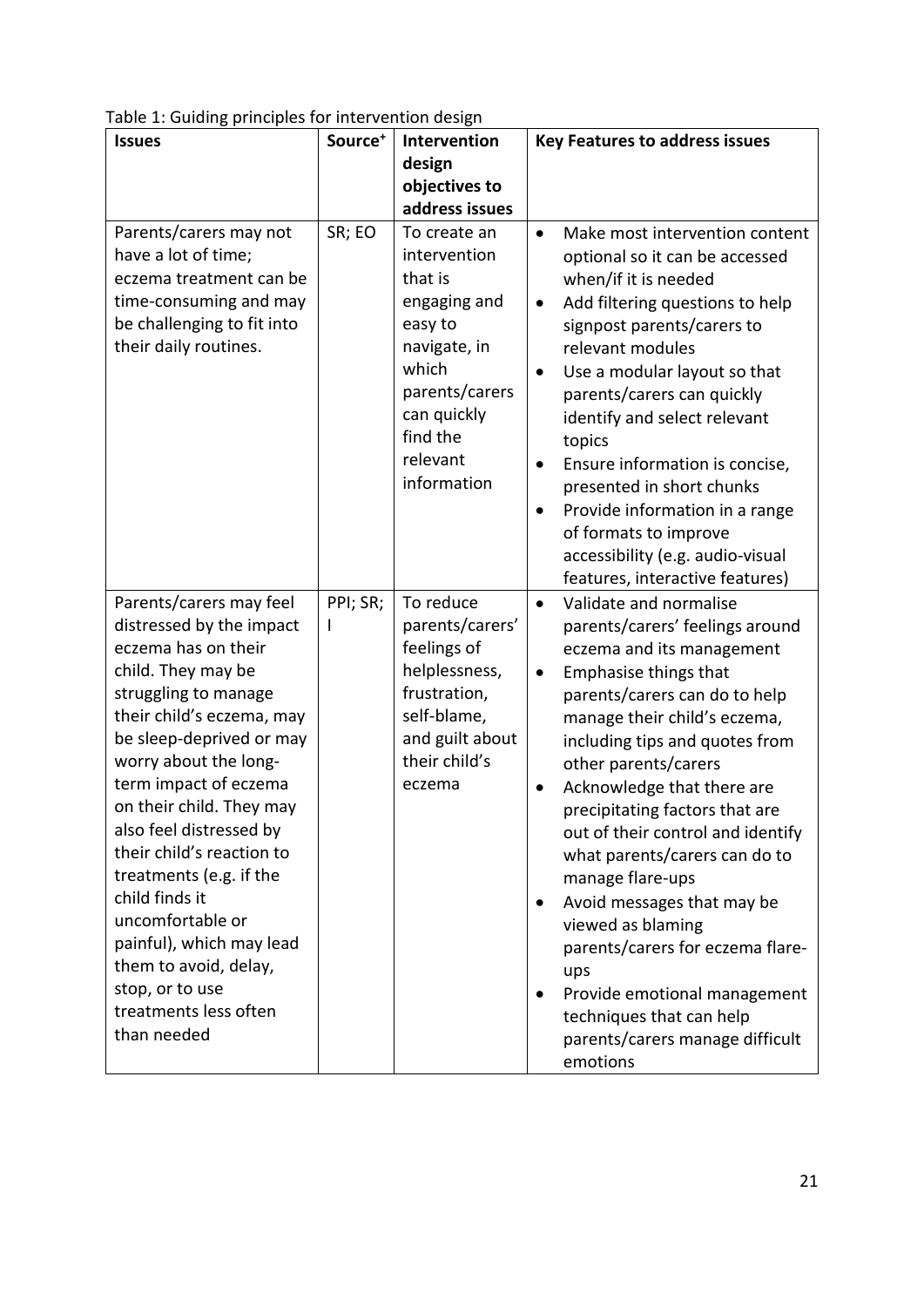| <b>Issues</b>                                                                                                                                                                                                                                                                                                                                                                                                                                                                                            | Source <sup>+</sup> | Intervention<br>design                                                                                                                                              | <b>Key Features to address issues</b>                                                                                                                                                                                                                                                                                                                                                                                                                                                                                                                                                                                                                             |  |
|----------------------------------------------------------------------------------------------------------------------------------------------------------------------------------------------------------------------------------------------------------------------------------------------------------------------------------------------------------------------------------------------------------------------------------------------------------------------------------------------------------|---------------------|---------------------------------------------------------------------------------------------------------------------------------------------------------------------|-------------------------------------------------------------------------------------------------------------------------------------------------------------------------------------------------------------------------------------------------------------------------------------------------------------------------------------------------------------------------------------------------------------------------------------------------------------------------------------------------------------------------------------------------------------------------------------------------------------------------------------------------------------------|--|
|                                                                                                                                                                                                                                                                                                                                                                                                                                                                                                          |                     | objectives to<br>address issues                                                                                                                                     |                                                                                                                                                                                                                                                                                                                                                                                                                                                                                                                                                                                                                                                                   |  |
| Parents/carers may not<br>have a lot of time;<br>eczema treatment can be<br>time-consuming and may<br>be challenging to fit into<br>their daily routines.                                                                                                                                                                                                                                                                                                                                                | SR; EO              | To create an<br>intervention<br>that is<br>engaging and<br>easy to<br>navigate, in<br>which<br>parents/carers<br>can quickly<br>find the<br>relevant<br>information | Make most intervention content<br>$\bullet$<br>optional so it can be accessed<br>when/if it is needed<br>Add filtering questions to help<br>$\bullet$<br>signpost parents/carers to<br>relevant modules<br>Use a modular layout so that<br>$\bullet$<br>parents/carers can quickly<br>identify and select relevant<br>topics<br>Ensure information is concise,<br>$\bullet$<br>presented in short chunks<br>Provide information in a range<br>$\bullet$<br>of formats to improve<br>accessibility (e.g. audio-visual<br>features, interactive features)                                                                                                           |  |
| Parents/carers may feel<br>distressed by the impact<br>eczema has on their<br>child. They may be<br>struggling to manage<br>their child's eczema, may<br>be sleep-deprived or may<br>worry about the long-<br>term impact of eczema<br>on their child. They may<br>also feel distressed by<br>their child's reaction to<br>treatments (e.g. if the<br>child finds it<br>uncomfortable or<br>painful), which may lead<br>them to avoid, delay,<br>stop, or to use<br>treatments less often<br>than needed | PPI; SR;<br>I       | To reduce<br>parents/carers'<br>feelings of<br>helplessness,<br>frustration,<br>self-blame,<br>and guilt about<br>their child's<br>eczema                           | Validate and normalise<br>$\bullet$<br>parents/carers' feelings around<br>eczema and its management<br>Emphasise things that<br>$\bullet$<br>parents/carers can do to help<br>manage their child's eczema,<br>including tips and quotes from<br>other parents/carers<br>Acknowledge that there are<br>precipitating factors that are<br>out of their control and identify<br>what parents/carers can do to<br>manage flare-ups<br>Avoid messages that may be<br>$\bullet$<br>viewed as blaming<br>parents/carers for eczema flare-<br>ups<br>Provide emotional management<br>$\bullet$<br>techniques that can help<br>parents/carers manage difficult<br>emotions |  |

Table 1: Guiding principles for intervention design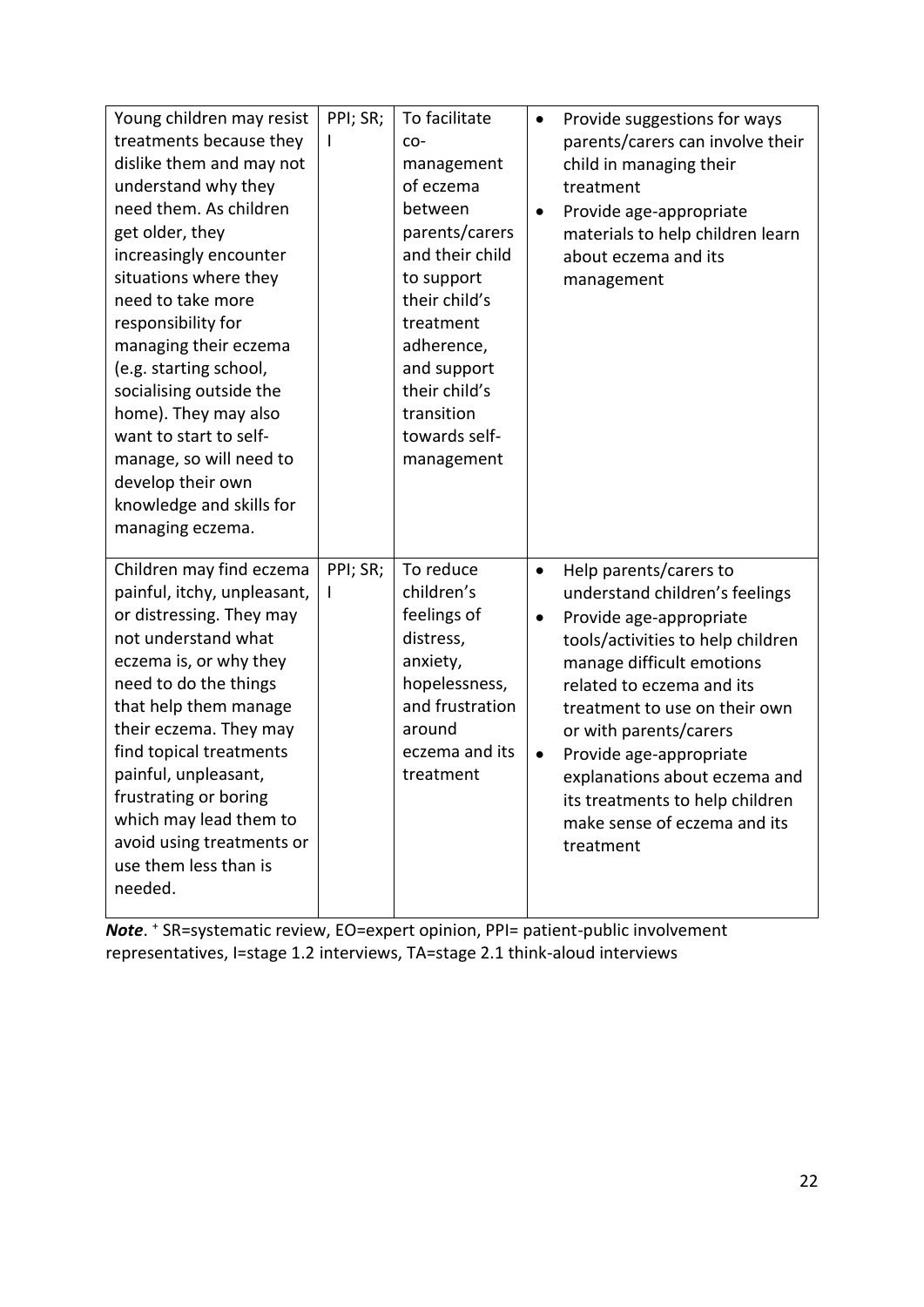| Young children may resist<br>treatments because they<br>dislike them and may not<br>understand why they<br>need them. As children<br>get older, they<br>increasingly encounter<br>situations where they<br>need to take more<br>responsibility for<br>managing their eczema<br>(e.g. starting school,<br>socialising outside the<br>home). They may also<br>want to start to self-<br>manage, so will need to<br>develop their own<br>knowledge and skills for<br>managing eczema. | PPI; SR;<br>I | To facilitate<br>CO-<br>management<br>of eczema<br>between<br>parents/carers<br>and their child<br>to support<br>their child's<br>treatment<br>adherence,<br>and support<br>their child's<br>transition<br>towards self-<br>management | $\bullet$<br>$\bullet$              | Provide suggestions for ways<br>parents/carers can involve their<br>child in managing their<br>treatment<br>Provide age-appropriate<br>materials to help children learn<br>about eczema and its<br>management                                                                                                                                                                             |
|------------------------------------------------------------------------------------------------------------------------------------------------------------------------------------------------------------------------------------------------------------------------------------------------------------------------------------------------------------------------------------------------------------------------------------------------------------------------------------|---------------|----------------------------------------------------------------------------------------------------------------------------------------------------------------------------------------------------------------------------------------|-------------------------------------|-------------------------------------------------------------------------------------------------------------------------------------------------------------------------------------------------------------------------------------------------------------------------------------------------------------------------------------------------------------------------------------------|
| Children may find eczema<br>painful, itchy, unpleasant,<br>or distressing. They may<br>not understand what<br>eczema is, or why they<br>need to do the things<br>that help them manage<br>their eczema. They may<br>find topical treatments<br>painful, unpleasant,<br>frustrating or boring<br>which may lead them to<br>avoid using treatments or<br>use them less than is<br>needed.                                                                                            | PPI; SR;<br>L | To reduce<br>children's<br>feelings of<br>distress,<br>anxiety,<br>hopelessness,<br>and frustration<br>around<br>eczema and its<br>treatment                                                                                           | $\bullet$<br>$\bullet$<br>$\bullet$ | Help parents/carers to<br>understand children's feelings<br>Provide age-appropriate<br>tools/activities to help children<br>manage difficult emotions<br>related to eczema and its<br>treatment to use on their own<br>or with parents/carers<br>Provide age-appropriate<br>explanations about eczema and<br>its treatments to help children<br>make sense of eczema and its<br>treatment |

*Note*. <sup>+</sup> SR=systematic review, EO=expert opinion, PPI= patient-public involvement representatives, I=stage 1.2 interviews, TA=stage 2.1 think-aloud interviews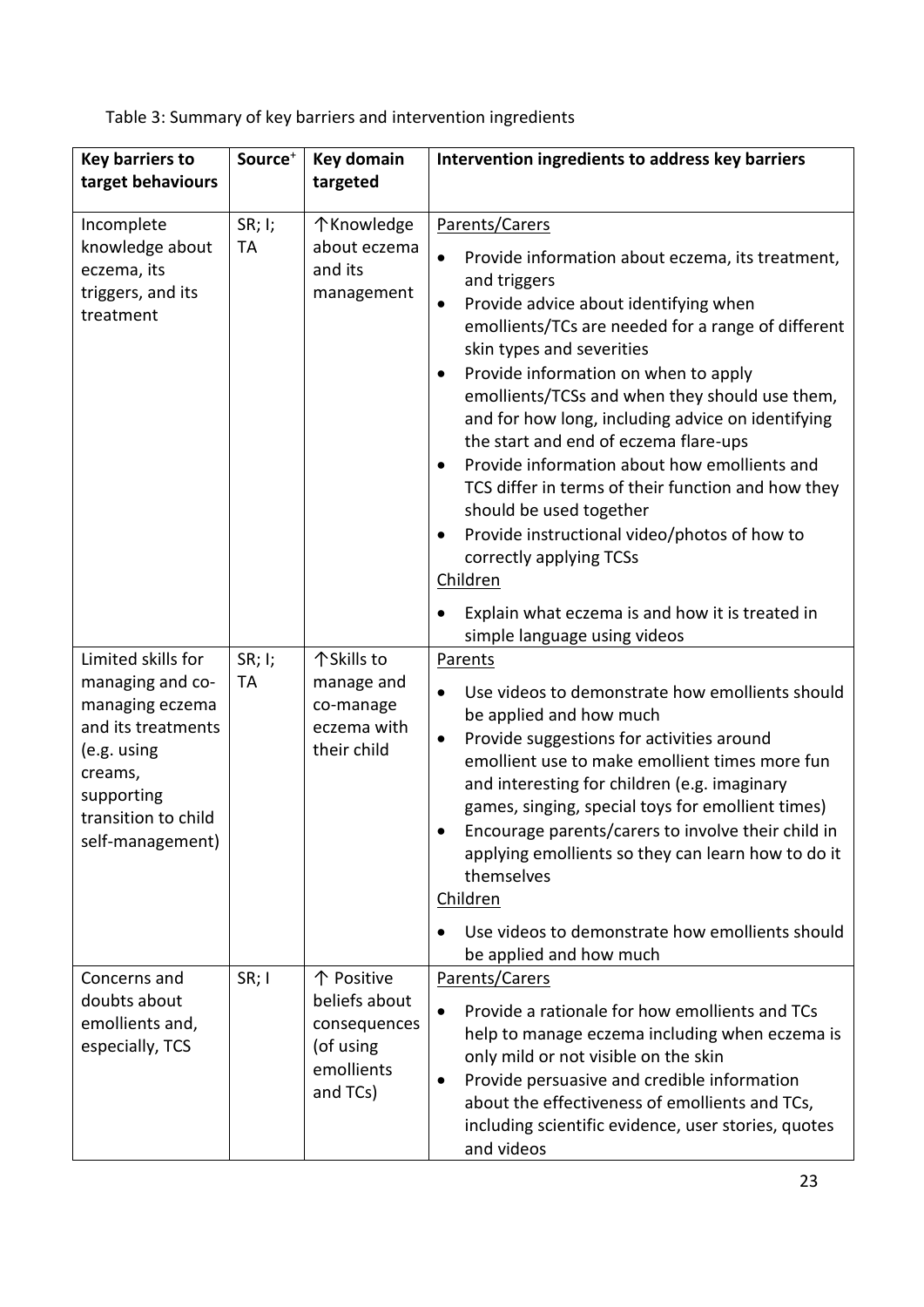Table 3: Summary of key barriers and intervention ingredients

| <b>Key barriers to</b><br>target behaviours                                                                                                                        | Source <sup>+</sup> | <b>Key domain</b><br>targeted                                                      | Intervention ingredients to address key barriers                                                                                                                                                                                                                                                                                                                                                                                                                                                                                                                                                                                                              |  |  |
|--------------------------------------------------------------------------------------------------------------------------------------------------------------------|---------------------|------------------------------------------------------------------------------------|---------------------------------------------------------------------------------------------------------------------------------------------------------------------------------------------------------------------------------------------------------------------------------------------------------------------------------------------------------------------------------------------------------------------------------------------------------------------------------------------------------------------------------------------------------------------------------------------------------------------------------------------------------------|--|--|
| Incomplete<br>knowledge about<br>eczema, its<br>triggers, and its<br>treatment                                                                                     | SR; I;<br>TA        | 个Knowledge<br>about eczema<br>and its<br>management                                | Parents/Carers<br>Provide information about eczema, its treatment,<br>and triggers<br>Provide advice about identifying when<br>٠<br>emollients/TCs are needed for a range of different<br>skin types and severities<br>Provide information on when to apply<br>$\bullet$<br>emollients/TCSs and when they should use them,<br>and for how long, including advice on identifying<br>the start and end of eczema flare-ups<br>Provide information about how emollients and<br>$\bullet$<br>TCS differ in terms of their function and how they<br>should be used together<br>Provide instructional video/photos of how to<br>correctly applying TCSs<br>Children |  |  |
|                                                                                                                                                                    |                     |                                                                                    | Explain what eczema is and how it is treated in<br>simple language using videos                                                                                                                                                                                                                                                                                                                                                                                                                                                                                                                                                                               |  |  |
| Limited skills for<br>managing and co-<br>managing eczema<br>and its treatments<br>(e.g. using<br>creams,<br>supporting<br>transition to child<br>self-management) | SR; I;<br>TA        | 个Skills to<br>manage and<br>co-manage<br>eczema with<br>their child                | Parents<br>Use videos to demonstrate how emollients should<br>be applied and how much<br>Provide suggestions for activities around<br>$\bullet$<br>emollient use to make emollient times more fun<br>and interesting for children (e.g. imaginary<br>games, singing, special toys for emollient times)<br>Encourage parents/carers to involve their child in<br>applying emollients so they can learn how to do it<br>themselves<br><b>Children</b><br>Use videos to demonstrate how emollients should                                                                                                                                                        |  |  |
|                                                                                                                                                                    |                     |                                                                                    | be applied and how much                                                                                                                                                                                                                                                                                                                                                                                                                                                                                                                                                                                                                                       |  |  |
| Concerns and<br>doubts about<br>emollients and,<br>especially, TCS                                                                                                 | SR; I               | 个 Positive<br>beliefs about<br>consequences<br>(of using<br>emollients<br>and TCs) | Parents/Carers<br>Provide a rationale for how emollients and TCs<br>help to manage eczema including when eczema is<br>only mild or not visible on the skin<br>Provide persuasive and credible information<br>٠<br>about the effectiveness of emollients and TCs,<br>including scientific evidence, user stories, quotes<br>and videos                                                                                                                                                                                                                                                                                                                         |  |  |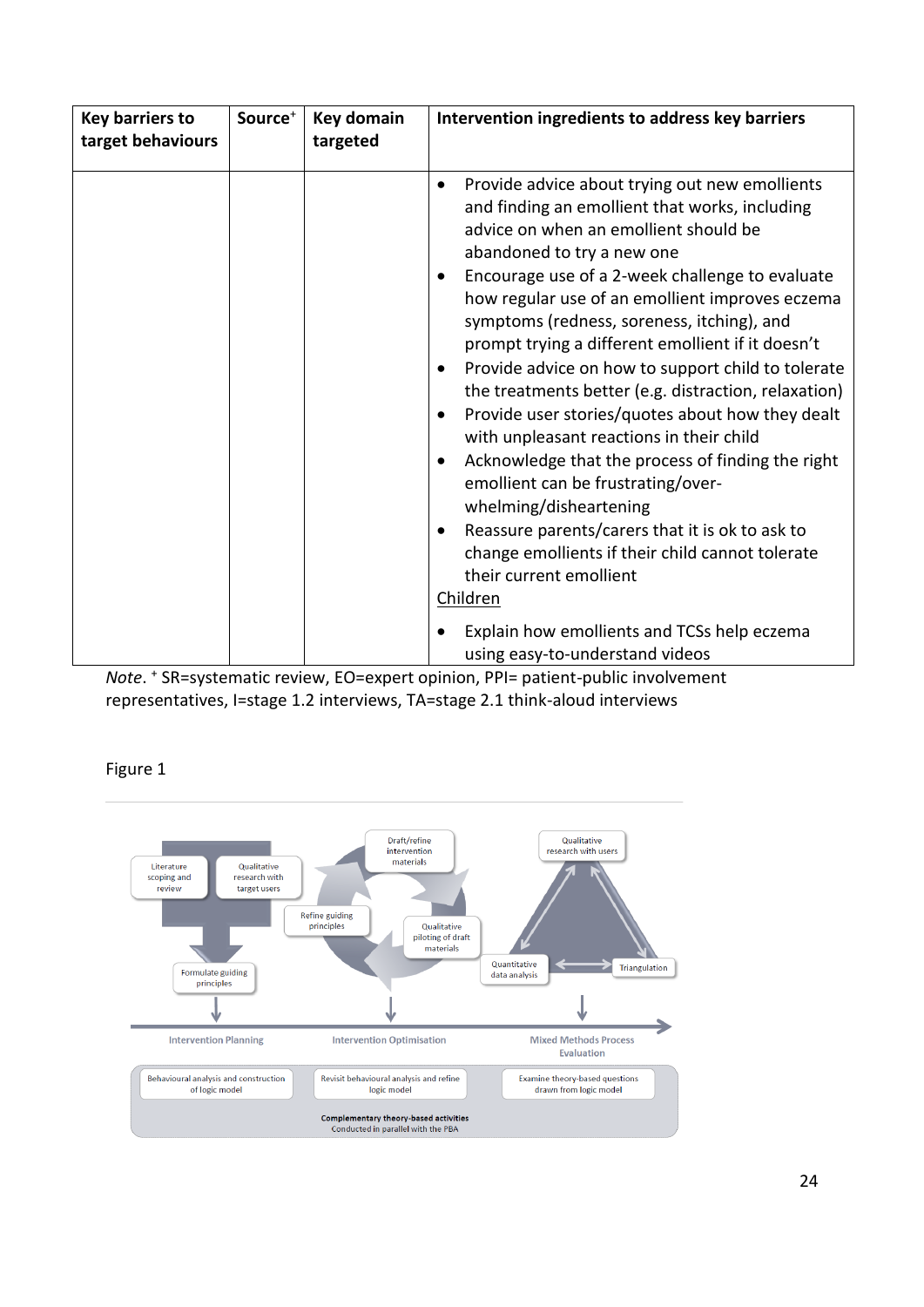| <b>Key barriers to</b><br>target behaviours | Source <sup>+</sup> | Key domain<br>targeted | Intervention ingredients to address key barriers                                                                                                                                                                                                                                                                                                                                                                                                                                                                                                                                                                                                                                                                                                                                                                                                                                                                                                |  |  |
|---------------------------------------------|---------------------|------------------------|-------------------------------------------------------------------------------------------------------------------------------------------------------------------------------------------------------------------------------------------------------------------------------------------------------------------------------------------------------------------------------------------------------------------------------------------------------------------------------------------------------------------------------------------------------------------------------------------------------------------------------------------------------------------------------------------------------------------------------------------------------------------------------------------------------------------------------------------------------------------------------------------------------------------------------------------------|--|--|
|                                             |                     |                        | Provide advice about trying out new emollients<br>$\bullet$<br>and finding an emollient that works, including<br>advice on when an emollient should be<br>abandoned to try a new one<br>Encourage use of a 2-week challenge to evaluate<br>$\bullet$<br>how regular use of an emollient improves eczema<br>symptoms (redness, soreness, itching), and<br>prompt trying a different emollient if it doesn't<br>Provide advice on how to support child to tolerate<br>$\bullet$<br>the treatments better (e.g. distraction, relaxation)<br>Provide user stories/quotes about how they dealt<br>$\bullet$<br>with unpleasant reactions in their child<br>Acknowledge that the process of finding the right<br>$\bullet$<br>emollient can be frustrating/over-<br>whelming/disheartening<br>Reassure parents/carers that it is ok to ask to<br>$\bullet$<br>change emollients if their child cannot tolerate<br>their current emollient<br>Children |  |  |
|                                             |                     |                        | Explain how emollients and TCSs help eczema<br>using easy-to-understand videos                                                                                                                                                                                                                                                                                                                                                                                                                                                                                                                                                                                                                                                                                                                                                                                                                                                                  |  |  |

*Note*. <sup>+</sup> SR=systematic review, EO=expert opinion, PPI= patient-public involvement representatives, I=stage 1.2 interviews, TA=stage 2.1 think-aloud interviews

Figure 1